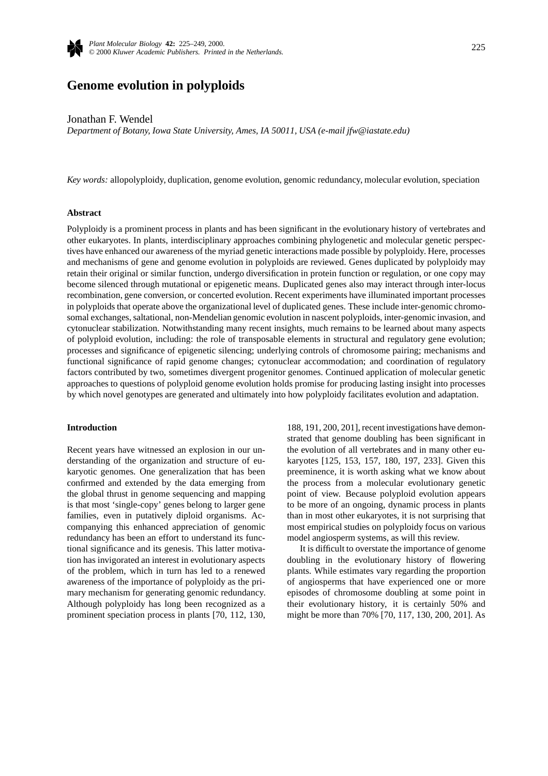

# **Genome evolution in polyploids**

Jonathan F. Wendel

*Department of Botany, Iowa State University, Ames, IA 50011, USA (e-mail jfw@iastate.edu)*

*Key words:* allopolyploidy, duplication, genome evolution, genomic redundancy, molecular evolution, speciation

#### **Abstract**

Polyploidy is a prominent process in plants and has been significant in the evolutionary history of vertebrates and other eukaryotes. In plants, interdisciplinary approaches combining phylogenetic and molecular genetic perspectives have enhanced our awareness of the myriad genetic interactions made possible by polyploidy. Here, processes and mechanisms of gene and genome evolution in polyploids are reviewed. Genes duplicated by polyploidy may retain their original or similar function, undergo diversification in protein function or regulation, or one copy may become silenced through mutational or epigenetic means. Duplicated genes also may interact through inter-locus recombination, gene conversion, or concerted evolution. Recent experiments have illuminated important processes in polyploids that operate above the organizational level of duplicated genes. These include inter-genomic chromosomal exchanges, saltational, non-Mendelian genomic evolution in nascent polyploids, inter-genomic invasion, and cytonuclear stabilization. Notwithstanding many recent insights, much remains to be learned about many aspects of polyploid evolution, including: the role of transposable elements in structural and regulatory gene evolution; processes and significance of epigenetic silencing; underlying controls of chromosome pairing; mechanisms and functional significance of rapid genome changes; cytonuclear accommodation; and coordination of regulatory factors contributed by two, sometimes divergent progenitor genomes. Continued application of molecular genetic approaches to questions of polyploid genome evolution holds promise for producing lasting insight into processes by which novel genotypes are generated and ultimately into how polyploidy facilitates evolution and adaptation.

## **Introduction**

Recent years have witnessed an explosion in our understanding of the organization and structure of eukaryotic genomes. One generalization that has been confirmed and extended by the data emerging from the global thrust in genome sequencing and mapping is that most 'single-copy' genes belong to larger gene families, even in putatively diploid organisms. Accompanying this enhanced appreciation of genomic redundancy has been an effort to understand its functional significance and its genesis. This latter motivation has invigorated an interest in evolutionary aspects of the problem, which in turn has led to a renewed awareness of the importance of polyploidy as the primary mechanism for generating genomic redundancy. Although polyploidy has long been recognized as a prominent speciation process in plants [70, 112, 130, 188, 191, 200, 201], recent investigations have demonstrated that genome doubling has been significant in the evolution of all vertebrates and in many other eukaryotes [125, 153, 157, 180, 197, 233]. Given this preeminence, it is worth asking what we know about the process from a molecular evolutionary genetic point of view. Because polyploid evolution appears to be more of an ongoing, dynamic process in plants than in most other eukaryotes, it is not surprising that most empirical studies on polyploidy focus on various model angiosperm systems, as will this review.

It is difficult to overstate the importance of genome doubling in the evolutionary history of flowering plants. While estimates vary regarding the proportion of angiosperms that have experienced one or more episodes of chromosome doubling at some point in their evolutionary history, it is certainly 50% and might be more than 70% [70, 117, 130, 200, 201]. As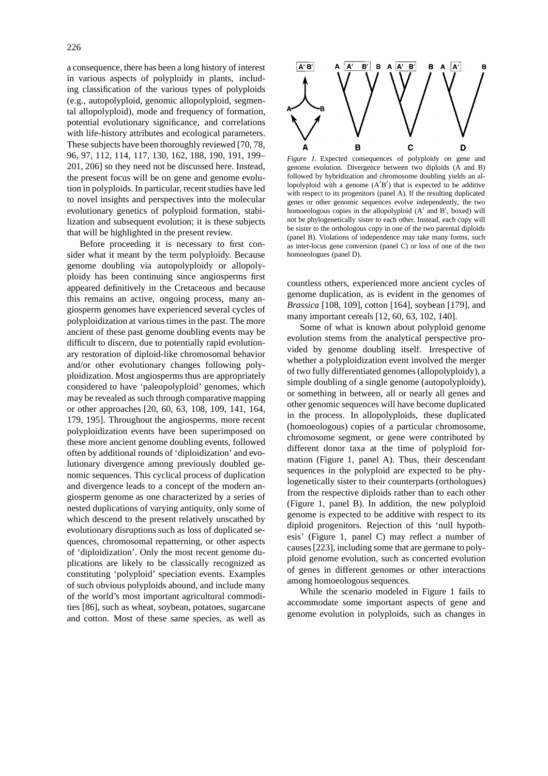a consequence, there has been a long history of interest in various aspects of polyploidy in plants, including classification of the various types of polyploids (e.g., autopolyploid, genomic allopolyploid, segmental allopolyploid), mode and frequency of formation, potential evolutionary significance, and correlations with life-history attributes and ecological parameters. These subjects have been thoroughly reviewed [70, 78, 96, 97, 112, 114, 117, 130, 162, 188, 190, 191, 199– 201, 206] so they need not be discussed here. Instead, the present focus will be on gene and genome evolution in polyploids. In particular, recent studies have led to novel insights and perspectives into the molecular evolutionary genetics of polyploid formation, stabilization and subsequent evolution; it is these subjects that will be highlighted in the present review.

Before proceeding it is necessary to first consider what it meant by the term polyploidy. Because genome doubling via autopolyploidy or allopolyploidy has been continuing since angiosperms first appeared definitively in the Cretaceous and because this remains an active, ongoing process, many angiosperm genomes have experienced several cycles of polyploidization at various times in the past. The more ancient of these past genome doubling events may be difficult to discern, due to potentially rapid evolutionary restoration of diploid-like chromosomal behavior and/or other evolutionary changes following polyploidization. Most angiosperms thus are appropriately considered to have 'paleopolyploid' genomes, which may be revealed as such through comparative mapping or other approaches [20, 60, 63, 108, 109, 141, 164, 179, 195]. Throughout the angiosperms, more recent polyploidization events have been superimposed on these more ancient genome doubling events, followed often by additional rounds of 'diploidization' and evolutionary divergence among previously doubled genomic sequences. This cyclical process of duplication and divergence leads to a concept of the modern angiosperm genome as one characterized by a series of nested duplications of varying antiquity, only some of which descend to the present relatively unscathed by evolutionary disruptions such as loss of duplicated sequences, chromosomal repatterning, or other aspects of 'diploidization'. Only the most recent genome duplications are likely to be classically recognized as constituting 'polyploid' speciation events. Examples of such obvious polyploids abound, and include many of the world's most important agricultural commodities [86], such as wheat, soybean, potatoes, sugarcane and cotton. Most of these same species, as well as



*Figure 1.* Expected consequences of polyploidy on gene and genome evolution. Divergence between two diploids (A and B) followed by hybridization and chromosome doubling yields an allopolyploid with a genome  $(A'B')$  that is expected to be additive with respect to its progenitors (panel A). If the resulting duplicated genes or other genomic sequences evolve independently, the two homoeologous copies in the allopolyploid  $(A'$  and  $B'$ , boxed) will not be phylogenetically sister to each other. Instead, each copy will be sister to the orthologous copy in one of the two parental diploids (panel B). Violations of independence may take many forms, such as inter-locus gene conversion (panel C) or loss of one of the two homoeologues (panel D).

countless others, experienced more ancient cycles of genome duplication, as is evident in the genomes of *Brassica* [108, 109], cotton [164], soybean [179], and many important cereals [12, 60, 63, 102, 140].

Some of what is known about polyploid genome evolution stems from the analytical perspective provided by genome doubling itself. Irrespective of whether a polyploidization event involved the merger of two fully differentiated genomes (allopolyploidy), a simple doubling of a single genome (autopolyploidy), or something in between, all or nearly all genes and other genomic sequences will have become duplicated in the process. In allopolyploids, these duplicated (homoeologous) copies of a particular chromosome, chromosome segment, or gene were contributed by different donor taxa at the time of polyploid formation (Figure 1, panel A). Thus, their descendant sequences in the polyploid are expected to be phylogenetically sister to their counterparts (orthologues) from the respective diploids rather than to each other (Figure 1, panel B). In addition, the new polyploid genome is expected to be additive with respect to its diploid progenitors. Rejection of this 'null hypothesis' (Figure 1, panel C) may reflect a number of causes [223], including some that are germane to polyploid genome evolution, such as concerted evolution of genes in different genomes or other interactions among homoeologous sequences.

While the scenario modeled in Figure 1 fails to accommodate some important aspects of gene and genome evolution in polyploids, such as changes in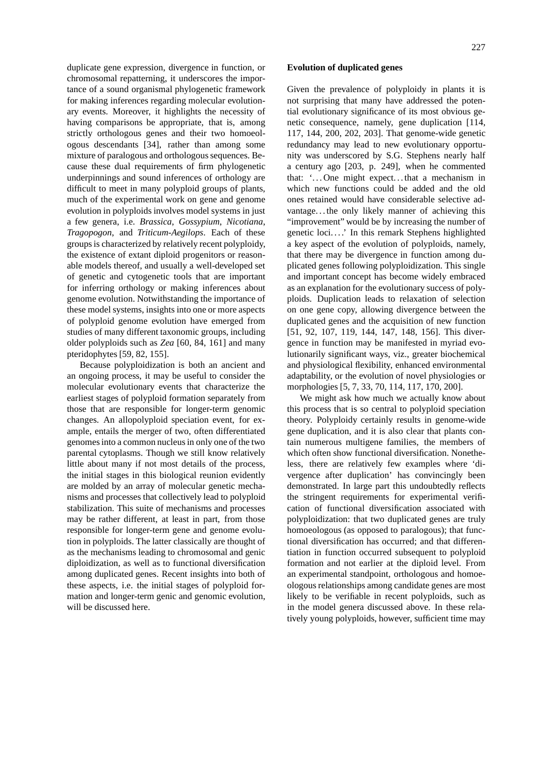duplicate gene expression, divergence in function, or chromosomal repatterning, it underscores the importance of a sound organismal phylogenetic framework for making inferences regarding molecular evolutionary events. Moreover, it highlights the necessity of having comparisons be appropriate, that is, among strictly orthologous genes and their two homoeologous descendants [34], rather than among some mixture of paralogous and orthologous sequences. Because these dual requirements of firm phylogenetic underpinnings and sound inferences of orthology are difficult to meet in many polyploid groups of plants, much of the experimental work on gene and genome evolution in polyploids involves model systems in just a few genera, i.e. *Brassica*, *Gossypium*, *Nicotiana*, *Tragopogon*, and *Triticum-Aegilops*. Each of these groups is characterized by relatively recent polyploidy, the existence of extant diploid progenitors or reasonable models thereof, and usually a well-developed set of genetic and cytogenetic tools that are important for inferring orthology or making inferences about genome evolution. Notwithstanding the importance of these model systems, insights into one or more aspects of polyploid genome evolution have emerged from studies of many different taxonomic groups, including older polyploids such as *Zea* [60, 84, 161] and many pteridophytes [59, 82, 155].

Because polyploidization is both an ancient and an ongoing process, it may be useful to consider the molecular evolutionary events that characterize the earliest stages of polyploid formation separately from those that are responsible for longer-term genomic changes. An allopolyploid speciation event, for example, entails the merger of two, often differentiated genomes into a common nucleus in only one of the two parental cytoplasms. Though we still know relatively little about many if not most details of the process, the initial stages in this biological reunion evidently are molded by an array of molecular genetic mechanisms and processes that collectively lead to polyploid stabilization. This suite of mechanisms and processes may be rather different, at least in part, from those responsible for longer-term gene and genome evolution in polyploids. The latter classically are thought of as the mechanisms leading to chromosomal and genic diploidization, as well as to functional diversification among duplicated genes. Recent insights into both of these aspects, i.e. the initial stages of polyploid formation and longer-term genic and genomic evolution, will be discussed here.

## **Evolution of duplicated genes**

Given the prevalence of polyploidy in plants it is not surprising that many have addressed the potential evolutionary significance of its most obvious genetic consequence, namely, gene duplication [114, 117, 144, 200, 202, 203]. That genome-wide genetic redundancy may lead to new evolutionary opportunity was underscored by S.G. Stephens nearly half a century ago [203, p. 249], when he commented that: '. . . One might expect. . . that a mechanism in which new functions could be added and the old ones retained would have considerable selective advantage. . . the only likely manner of achieving this "improvement" would be by increasing the number of genetic loci....' In this remark Stephens highlighted a key aspect of the evolution of polyploids, namely, that there may be divergence in function among duplicated genes following polyploidization. This single and important concept has become widely embraced as an explanation for the evolutionary success of polyploids. Duplication leads to relaxation of selection on one gene copy, allowing divergence between the duplicated genes and the acquisition of new function [51, 92, 107, 119, 144, 147, 148, 156]. This divergence in function may be manifested in myriad evolutionarily significant ways, viz., greater biochemical and physiological flexibility, enhanced environmental adaptability, or the evolution of novel physiologies or morphologies [5, 7, 33, 70, 114, 117, 170, 200].

We might ask how much we actually know about this process that is so central to polyploid speciation theory. Polyploidy certainly results in genome-wide gene duplication, and it is also clear that plants contain numerous multigene families, the members of which often show functional diversification. Nonetheless, there are relatively few examples where 'divergence after duplication' has convincingly been demonstrated. In large part this undoubtedly reflects the stringent requirements for experimental verification of functional diversification associated with polyploidization: that two duplicated genes are truly homoeologous (as opposed to paralogous); that functional diversification has occurred; and that differentiation in function occurred subsequent to polyploid formation and not earlier at the diploid level. From an experimental standpoint, orthologous and homoeologous relationships among candidate genes are most likely to be verifiable in recent polyploids, such as in the model genera discussed above. In these relatively young polyploids, however, sufficient time may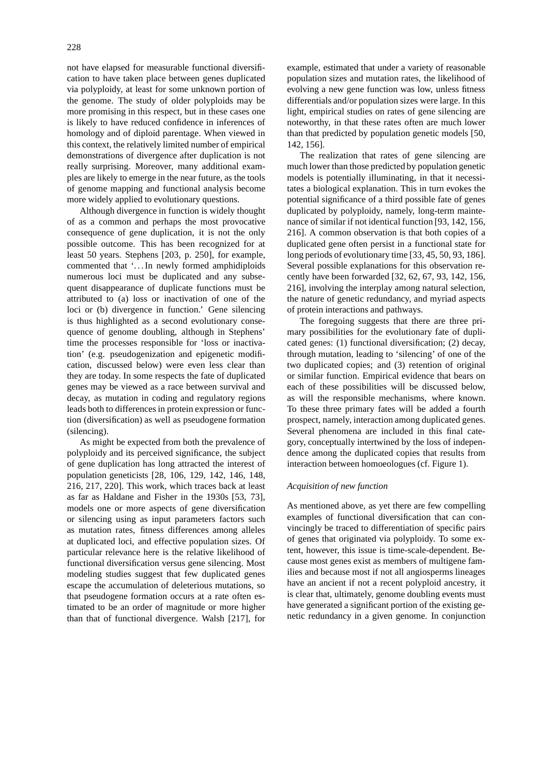not have elapsed for measurable functional diversification to have taken place between genes duplicated via polyploidy, at least for some unknown portion of the genome. The study of older polyploids may be more promising in this respect, but in these cases one is likely to have reduced confidence in inferences of homology and of diploid parentage. When viewed in this context, the relatively limited number of empirical demonstrations of divergence after duplication is not really surprising. Moreover, many additional examples are likely to emerge in the near future, as the tools of genome mapping and functional analysis become more widely applied to evolutionary questions.

Although divergence in function is widely thought of as a common and perhaps the most provocative consequence of gene duplication, it is not the only possible outcome. This has been recognized for at least 50 years. Stephens [203, p. 250], for example, commented that '...In newly formed amphidiploids numerous loci must be duplicated and any subsequent disappearance of duplicate functions must be attributed to (a) loss or inactivation of one of the loci or (b) divergence in function.' Gene silencing is thus highlighted as a second evolutionary consequence of genome doubling, although in Stephens' time the processes responsible for 'loss or inactivation' (e.g. pseudogenization and epigenetic modification, discussed below) were even less clear than they are today. In some respects the fate of duplicated genes may be viewed as a race between survival and decay, as mutation in coding and regulatory regions leads both to differences in protein expression or function (diversification) as well as pseudogene formation (silencing).

As might be expected from both the prevalence of polyploidy and its perceived significance, the subject of gene duplication has long attracted the interest of population geneticists [28, 106, 129, 142, 146, 148, 216, 217, 220]. This work, which traces back at least as far as Haldane and Fisher in the 1930s [53, 73], models one or more aspects of gene diversification or silencing using as input parameters factors such as mutation rates, fitness differences among alleles at duplicated loci, and effective population sizes. Of particular relevance here is the relative likelihood of functional diversification versus gene silencing. Most modeling studies suggest that few duplicated genes escape the accumulation of deleterious mutations, so that pseudogene formation occurs at a rate often estimated to be an order of magnitude or more higher than that of functional divergence. Walsh [217], for

example, estimated that under a variety of reasonable population sizes and mutation rates, the likelihood of evolving a new gene function was low, unless fitness differentials and/or population sizes were large. In this light, empirical studies on rates of gene silencing are noteworthy, in that these rates often are much lower than that predicted by population genetic models [50, 142, 156].

The realization that rates of gene silencing are much lower than those predicted by population genetic models is potentially illuminating, in that it necessitates a biological explanation. This in turn evokes the potential significance of a third possible fate of genes duplicated by polyploidy, namely, long-term maintenance of similar if not identical function [93, 142, 156, 216]. A common observation is that both copies of a duplicated gene often persist in a functional state for long periods of evolutionary time [33, 45, 50, 93, 186]. Several possible explanations for this observation recently have been forwarded [32, 62, 67, 93, 142, 156, 216], involving the interplay among natural selection, the nature of genetic redundancy, and myriad aspects of protein interactions and pathways.

The foregoing suggests that there are three primary possibilities for the evolutionary fate of duplicated genes: (1) functional diversification; (2) decay, through mutation, leading to 'silencing' of one of the two duplicated copies; and (3) retention of original or similar function. Empirical evidence that bears on each of these possibilities will be discussed below, as will the responsible mechanisms, where known. To these three primary fates will be added a fourth prospect, namely, interaction among duplicated genes. Several phenomena are included in this final category, conceptually intertwined by the loss of independence among the duplicated copies that results from interaction between homoeologues (cf. Figure 1).

## *Acquisition of new function*

As mentioned above, as yet there are few compelling examples of functional diversification that can convincingly be traced to differentiation of specific pairs of genes that originated via polyploidy. To some extent, however, this issue is time-scale-dependent. Because most genes exist as members of multigene families and because most if not all angiosperms lineages have an ancient if not a recent polyploid ancestry, it is clear that, ultimately, genome doubling events must have generated a significant portion of the existing genetic redundancy in a given genome. In conjunction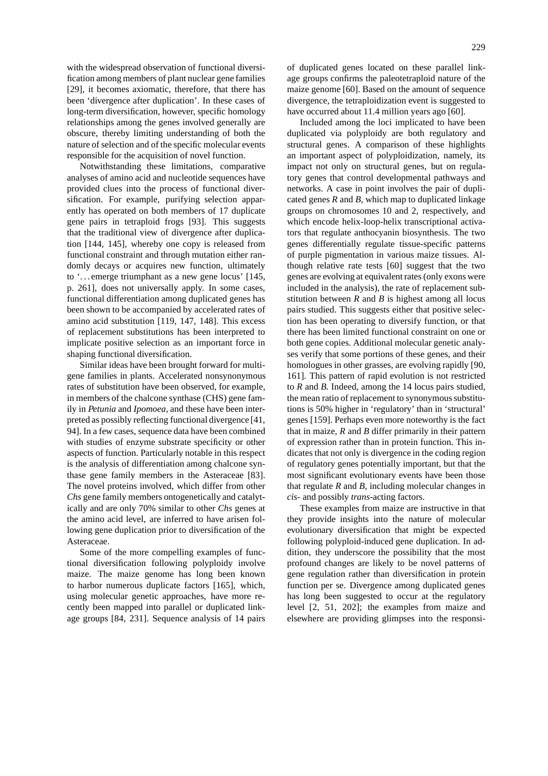with the widespread observation of functional diversification among members of plant nuclear gene families [29], it becomes axiomatic, therefore, that there has been 'divergence after duplication'. In these cases of long-term diversification, however, specific homology relationships among the genes involved generally are obscure, thereby limiting understanding of both the nature of selection and of the specific molecular events responsible for the acquisition of novel function.

Notwithstanding these limitations, comparative analyses of amino acid and nucleotide sequences have provided clues into the process of functional diversification. For example, purifying selection apparently has operated on both members of 17 duplicate gene pairs in tetraploid frogs [93]. This suggests that the traditional view of divergence after duplication [144, 145], whereby one copy is released from functional constraint and through mutation either randomly decays or acquires new function, ultimately to '... emerge triumphant as a new gene locus' [145, p. 261], does not universally apply. In some cases, functional differentiation among duplicated genes has been shown to be accompanied by accelerated rates of amino acid substitution [119, 147, 148]. This excess of replacement substitutions has been interpreted to implicate positive selection as an important force in shaping functional diversification.

Similar ideas have been brought forward for multigene families in plants. Accelerated nonsynonymous rates of substitution have been observed, for example, in members of the chalcone synthase (CHS) gene family in *Petunia* and *Ipomoea*, and these have been interpreted as possibly reflecting functional divergence [41, 94]. In a few cases, sequence data have been combined with studies of enzyme substrate specificity or other aspects of function. Particularly notable in this respect is the analysis of differentiation among chalcone synthase gene family members in the Asteraceae [83]. The novel proteins involved, which differ from other *Chs* gene family members ontogenetically and catalytically and are only 70% similar to other *Chs* genes at the amino acid level, are inferred to have arisen following gene duplication prior to diversification of the Asteraceae.

Some of the more compelling examples of functional diversification following polyploidy involve maize. The maize genome has long been known to harbor numerous duplicate factors [165], which, using molecular genetic approaches, have more recently been mapped into parallel or duplicated linkage groups [84, 231]. Sequence analysis of 14 pairs of duplicated genes located on these parallel linkage groups confirms the paleotetraploid nature of the maize genome [60]. Based on the amount of sequence divergence, the tetraploidization event is suggested to have occurred about 11.4 million years ago [60].

Included among the loci implicated to have been duplicated via polyploidy are both regulatory and structural genes. A comparison of these highlights an important aspect of polyploidization, namely, its impact not only on structural genes, but on regulatory genes that control developmental pathways and networks. A case in point involves the pair of duplicated genes *R* and *B*, which map to duplicated linkage groups on chromosomes 10 and 2, respectively, and which encode helix-loop-helix transcriptional activators that regulate anthocyanin biosynthesis. The two genes differentially regulate tissue-specific patterns of purple pigmentation in various maize tissues. Although relative rate tests [60] suggest that the two genes are evolving at equivalent rates (only exons were included in the analysis), the rate of replacement substitution between  $R$  and  $B$  is highest among all locus pairs studied. This suggests either that positive selection has been operating to diversify function, or that there has been limited functional constraint on one or both gene copies. Additional molecular genetic analyses verify that some portions of these genes, and their homologues in other grasses, are evolving rapidly [90, 161]. This pattern of rapid evolution is not restricted to *R* and *B.* Indeed, among the 14 locus pairs studied, the mean ratio of replacement to synonymous substitutions is 50% higher in 'regulatory' than in 'structural' genes [159]. Perhaps even more noteworthy is the fact that in maize, *R* and *B* differ primarily in their pattern of expression rather than in protein function. This indicates that not only is divergence in the coding region of regulatory genes potentially important, but that the most significant evolutionary events have been those that regulate *R* and *B*, including molecular changes in *cis*- and possibly *trans*-acting factors.

These examples from maize are instructive in that they provide insights into the nature of molecular evolutionary diversification that might be expected following polyploid-induced gene duplication. In addition, they underscore the possibility that the most profound changes are likely to be novel patterns of gene regulation rather than diversification in protein function per se. Divergence among duplicated genes has long been suggested to occur at the regulatory level [2, 51, 202]; the examples from maize and elsewhere are providing glimpses into the responsi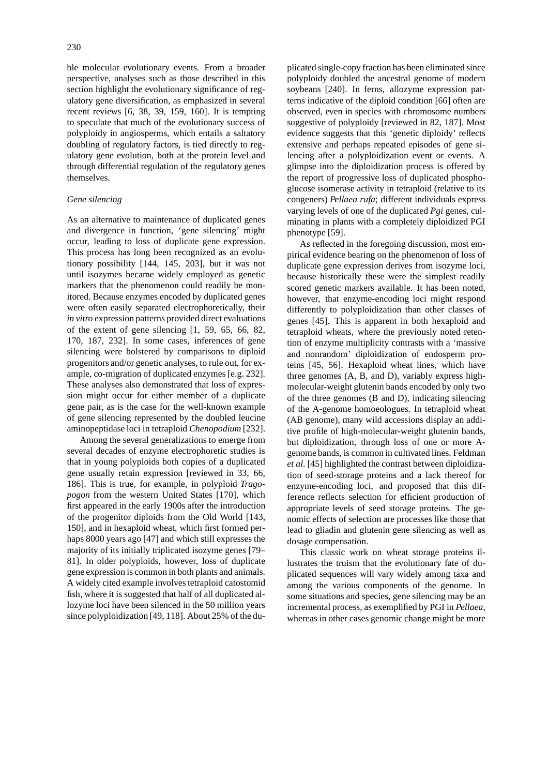ble molecular evolutionary events. From a broader perspective, analyses such as those described in this section highlight the evolutionary significance of regulatory gene diversification, as emphasized in several recent reviews [6, 38, 39, 159, 160]. It is tempting to speculate that much of the evolutionary success of polyploidy in angiosperms, which entails a saltatory doubling of regulatory factors, is tied directly to regulatory gene evolution, both at the protein level and through differential regulation of the regulatory genes themselves.

## *Gene silencing*

As an alternative to maintenance of duplicated genes and divergence in function, 'gene silencing' might occur, leading to loss of duplicate gene expression. This process has long been recognized as an evolutionary possibility [144, 145, 203], but it was not until isozymes became widely employed as genetic markers that the phenomenon could readily be monitored. Because enzymes encoded by duplicated genes were often easily separated electrophoretically, their *in vitro* expression patterns provided direct evaluations of the extent of gene silencing [1, 59, 65, 66, 82, 170, 187, 232]. In some cases, inferences of gene silencing were bolstered by comparisons to diploid progenitors and/or genetic analyses, to rule out, for example, co-migration of duplicated enzymes [e.g. 232]. These analyses also demonstrated that loss of expression might occur for either member of a duplicate gene pair, as is the case for the well-known example of gene silencing represented by the doubled leucine aminopeptidase loci in tetraploid *Chenopodium* [232].

Among the several generalizations to emerge from several decades of enzyme electrophoretic studies is that in young polyploids both copies of a duplicated gene usually retain expression [reviewed in 33, 66, 186]. This is true, for example, in polyploid *Tragopogon* from the western United States [170], which first appeared in the early 1900s after the introduction of the progenitor diploids from the Old World [143, 150], and in hexaploid wheat, which first formed perhaps 8000 years ago [47] and which still expresses the majority of its initially triplicated isozyme genes [79– 81]. In older polyploids, however, loss of duplicate gene expression is common in both plants and animals. A widely cited example involves tetraploid catostomid fish, where it is suggested that half of all duplicated allozyme loci have been silenced in the 50 million years since polyploidization [49, 118]. About 25% of the duplicated single-copy fraction has been eliminated since polyploidy doubled the ancestral genome of modern soybeans [240]. In ferns, allozyme expression patterns indicative of the diploid condition [66] often are observed, even in species with chromosome numbers suggestive of polyploidy [reviewed in 82, 187]. Most evidence suggests that this 'genetic diploidy' reflects extensive and perhaps repeated episodes of gene silencing after a polyploidization event or events. A glimpse into the diploidization process is offered by the report of progressive loss of duplicated phosphoglucose isomerase activity in tetraploid (relative to its congeners) *Pellaea rufa*; different individuals express varying levels of one of the duplicated *Pgi* genes, culminating in plants with a completely diploidized PGI phenotype [59].

As reflected in the foregoing discussion, most empirical evidence bearing on the phenomenon of loss of duplicate gene expression derives from isozyme loci, because historically these were the simplest readily scored genetic markers available. It has been noted, however, that enzyme-encoding loci might respond differently to polyploidization than other classes of genes [45]. This is apparent in both hexaploid and tetraploid wheats, where the previously noted retention of enzyme multiplicity contrasts with a 'massive and nonrandom' diploidization of endosperm proteins [45, 56]. Hexaploid wheat lines, which have three genomes (A, B, and D), variably express highmolecular-weight glutenin bands encoded by only two of the three genomes (B and D), indicating silencing of the A-genome homoeologues. In tetraploid wheat (AB genome), many wild accessions display an additive profile of high-molecular-weight glutenin bands, but diploidization, through loss of one or more Agenome bands, is common in cultivated lines. Feldman *et al*. [45] highlighted the contrast between diploidization of seed-storage proteins and a lack thereof for enzyme-encoding loci, and proposed that this difference reflects selection for efficient production of appropriate levels of seed storage proteins. The genomic effects of selection are processes like those that lead to gliadin and glutenin gene silencing as well as dosage compensation.

This classic work on wheat storage proteins illustrates the truism that the evolutionary fate of duplicated sequences will vary widely among taxa and among the various components of the genome. In some situations and species, gene silencing may be an incremental process, as exemplified by PGI in *Pellaea*, whereas in other cases genomic change might be more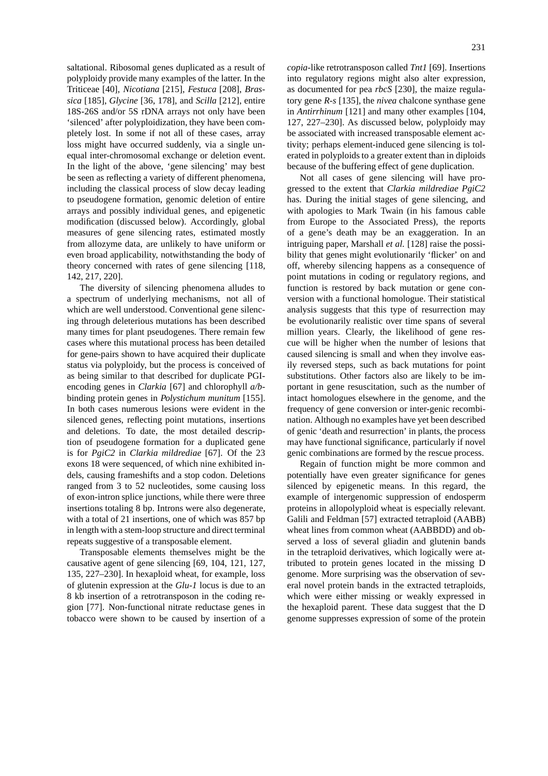saltational. Ribosomal genes duplicated as a result of polyploidy provide many examples of the latter. In the Triticeae [40], *Nicotiana* [215], *Festuca* [208], *Brassica* [185], *Glycine* [36, 178], and *Scilla* [212], entire 18S-26S and/or 5S rDNA arrays not only have been 'silenced' after polyploidization, they have been completely lost. In some if not all of these cases, array loss might have occurred suddenly, via a single unequal inter-chromosomal exchange or deletion event. In the light of the above, 'gene silencing' may best be seen as reflecting a variety of different phenomena, including the classical process of slow decay leading to pseudogene formation, genomic deletion of entire arrays and possibly individual genes, and epigenetic modification (discussed below). Accordingly, global measures of gene silencing rates, estimated mostly from allozyme data, are unlikely to have uniform or even broad applicability, notwithstanding the body of theory concerned with rates of gene silencing [118, 142, 217, 220].

The diversity of silencing phenomena alludes to a spectrum of underlying mechanisms, not all of which are well understood. Conventional gene silencing through deleterious mutations has been described many times for plant pseudogenes. There remain few cases where this mutational process has been detailed for gene-pairs shown to have acquired their duplicate status via polyploidy, but the process is conceived of as being similar to that described for duplicate PGIencoding genes in *Clarkia* [67] and chlorophyll *a/b*binding protein genes in *Polystichum munitum* [155]. In both cases numerous lesions were evident in the silenced genes, reflecting point mutations, insertions and deletions. To date, the most detailed description of pseudogene formation for a duplicated gene is for *PgiC2* in *Clarkia mildrediae* [67]. Of the 23 exons 18 were sequenced, of which nine exhibited indels, causing frameshifts and a stop codon. Deletions ranged from 3 to 52 nucleotides, some causing loss of exon-intron splice junctions, while there were three insertions totaling 8 bp. Introns were also degenerate, with a total of 21 insertions, one of which was 857 bp in length with a stem-loop structure and direct terminal repeats suggestive of a transposable element.

Transposable elements themselves might be the causative agent of gene silencing [69, 104, 121, 127, 135, 227–230]. In hexaploid wheat, for example, loss of glutenin expression at the *Glu-1* locus is due to an 8 kb insertion of a retrotransposon in the coding region [77]. Non-functional nitrate reductase genes in tobacco were shown to be caused by insertion of a

*copia*-like retrotransposon called *Tnt1* [69]. Insertions into regulatory regions might also alter expression, as documented for pea *rbcS* [230], the maize regulatory gene *R-s* [135], the *nivea* chalcone synthase gene in *Antirrhinum* [121] and many other examples [104, 127, 227–230]. As discussed below, polyploidy may be associated with increased transposable element activity; perhaps element-induced gene silencing is tolerated in polyploids to a greater extent than in diploids because of the buffering effect of gene duplication.

Not all cases of gene silencing will have progressed to the extent that *Clarkia mildrediae PgiC2* has. During the initial stages of gene silencing, and with apologies to Mark Twain (in his famous cable from Europe to the Associated Press), the reports of a gene's death may be an exaggeration. In an intriguing paper, Marshall *et al.* [128] raise the possibility that genes might evolutionarily 'flicker' on and off, whereby silencing happens as a consequence of point mutations in coding or regulatory regions, and function is restored by back mutation or gene conversion with a functional homologue. Their statistical analysis suggests that this type of resurrection may be evolutionarily realistic over time spans of several million years. Clearly, the likelihood of gene rescue will be higher when the number of lesions that caused silencing is small and when they involve easily reversed steps, such as back mutations for point substitutions. Other factors also are likely to be important in gene resuscitation, such as the number of intact homologues elsewhere in the genome, and the frequency of gene conversion or inter-genic recombination. Although no examples have yet been described of genic 'death and resurrection' in plants, the process may have functional significance, particularly if novel genic combinations are formed by the rescue process.

Regain of function might be more common and potentially have even greater significance for genes silenced by epigenetic means. In this regard, the example of intergenomic suppression of endosperm proteins in allopolyploid wheat is especially relevant. Galili and Feldman [57] extracted tetraploid (AABB) wheat lines from common wheat (AABBDD) and observed a loss of several gliadin and glutenin bands in the tetraploid derivatives, which logically were attributed to protein genes located in the missing D genome. More surprising was the observation of several novel protein bands in the extracted tetraploids, which were either missing or weakly expressed in the hexaploid parent. These data suggest that the D genome suppresses expression of some of the protein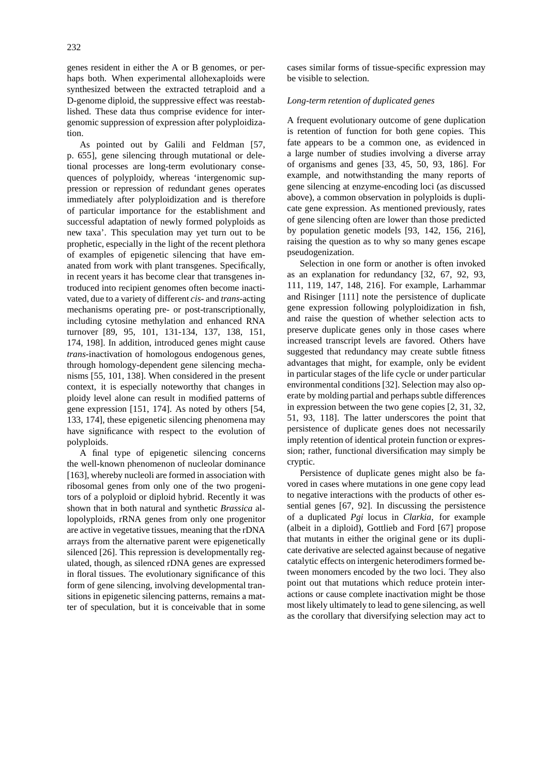genes resident in either the A or B genomes, or perhaps both. When experimental allohexaploids were synthesized between the extracted tetraploid and a D-genome diploid, the suppressive effect was reestablished. These data thus comprise evidence for intergenomic suppression of expression after polyploidization.

As pointed out by Galili and Feldman [57, p. 655], gene silencing through mutational or deletional processes are long-term evolutionary consequences of polyploidy, whereas 'intergenomic suppression or repression of redundant genes operates immediately after polyploidization and is therefore of particular importance for the establishment and successful adaptation of newly formed polyploids as new taxa'. This speculation may yet turn out to be prophetic, especially in the light of the recent plethora of examples of epigenetic silencing that have emanated from work with plant transgenes. Specifically, in recent years it has become clear that transgenes introduced into recipient genomes often become inactivated, due to a variety of different *cis*- and *trans*-acting mechanisms operating pre- or post-transcriptionally, including cytosine methylation and enhanced RNA turnover [89, 95, 101, 131-134, 137, 138, 151, 174, 198]. In addition, introduced genes might cause *trans*-inactivation of homologous endogenous genes, through homology-dependent gene silencing mechanisms [55, 101, 138]. When considered in the present context, it is especially noteworthy that changes in ploidy level alone can result in modified patterns of gene expression [151, 174]. As noted by others [54, 133, 174], these epigenetic silencing phenomena may have significance with respect to the evolution of polyploids.

A final type of epigenetic silencing concerns the well-known phenomenon of nucleolar dominance [163], whereby nucleoli are formed in association with ribosomal genes from only one of the two progenitors of a polyploid or diploid hybrid. Recently it was shown that in both natural and synthetic *Brassica* allopolyploids, rRNA genes from only one progenitor are active in vegetative tissues, meaning that the rDNA arrays from the alternative parent were epigenetically silenced [26]. This repression is developmentally regulated, though, as silenced rDNA genes are expressed in floral tissues. The evolutionary significance of this form of gene silencing, involving developmental transitions in epigenetic silencing patterns, remains a matter of speculation, but it is conceivable that in some

cases similar forms of tissue-specific expression may be visible to selection.

## *Long-term retention of duplicated genes*

A frequent evolutionary outcome of gene duplication is retention of function for both gene copies. This fate appears to be a common one, as evidenced in a large number of studies involving a diverse array of organisms and genes [33, 45, 50, 93, 186]. For example, and notwithstanding the many reports of gene silencing at enzyme-encoding loci (as discussed above), a common observation in polyploids is duplicate gene expression. As mentioned previously, rates of gene silencing often are lower than those predicted by population genetic models [93, 142, 156, 216], raising the question as to why so many genes escape pseudogenization.

Selection in one form or another is often invoked as an explanation for redundancy [32, 67, 92, 93, 111, 119, 147, 148, 216]. For example, Larhammar and Risinger [111] note the persistence of duplicate gene expression following polyploidization in fish, and raise the question of whether selection acts to preserve duplicate genes only in those cases where increased transcript levels are favored. Others have suggested that redundancy may create subtle fitness advantages that might, for example, only be evident in particular stages of the life cycle or under particular environmental conditions [32]. Selection may also operate by molding partial and perhaps subtle differences in expression between the two gene copies [2, 31, 32, 51, 93, 118]. The latter underscores the point that persistence of duplicate genes does not necessarily imply retention of identical protein function or expression; rather, functional diversification may simply be cryptic.

Persistence of duplicate genes might also be favored in cases where mutations in one gene copy lead to negative interactions with the products of other essential genes [67, 92]. In discussing the persistence of a duplicated *Pgi* locus in *Clarkia*, for example (albeit in a diploid), Gottlieb and Ford [67] propose that mutants in either the original gene or its duplicate derivative are selected against because of negative catalytic effects on intergenic heterodimers formed between monomers encoded by the two loci. They also point out that mutations which reduce protein interactions or cause complete inactivation might be those most likely ultimately to lead to gene silencing, as well as the corollary that diversifying selection may act to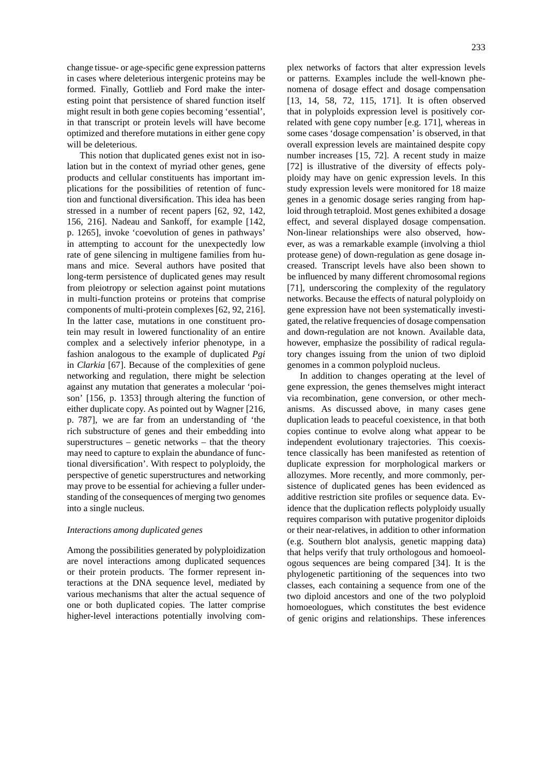change tissue- or age-specific gene expression patterns in cases where deleterious intergenic proteins may be formed. Finally, Gottlieb and Ford make the interesting point that persistence of shared function itself might result in both gene copies becoming 'essential', in that transcript or protein levels will have become optimized and therefore mutations in either gene copy will be deleterious.

This notion that duplicated genes exist not in isolation but in the context of myriad other genes, gene products and cellular constituents has important implications for the possibilities of retention of function and functional diversification. This idea has been stressed in a number of recent papers [62, 92, 142, 156, 216]. Nadeau and Sankoff, for example [142, p. 1265], invoke 'coevolution of genes in pathways' in attempting to account for the unexpectedly low rate of gene silencing in multigene families from humans and mice. Several authors have posited that long-term persistence of duplicated genes may result from pleiotropy or selection against point mutations in multi-function proteins or proteins that comprise components of multi-protein complexes [62, 92, 216]. In the latter case, mutations in one constituent protein may result in lowered functionality of an entire complex and a selectively inferior phenotype, in a fashion analogous to the example of duplicated *Pgi* in *Clarkia* [67]. Because of the complexities of gene networking and regulation, there might be selection against any mutation that generates a molecular 'poison' [156, p. 1353] through altering the function of either duplicate copy. As pointed out by Wagner [216, p. 787], we are far from an understanding of 'the rich substructure of genes and their embedding into superstructures – genetic networks – that the theory may need to capture to explain the abundance of functional diversification'. With respect to polyploidy, the perspective of genetic superstructures and networking may prove to be essential for achieving a fuller understanding of the consequences of merging two genomes into a single nucleus.

## *Interactions among duplicated genes*

Among the possibilities generated by polyploidization are novel interactions among duplicated sequences or their protein products. The former represent interactions at the DNA sequence level, mediated by various mechanisms that alter the actual sequence of one or both duplicated copies. The latter comprise higher-level interactions potentially involving complex networks of factors that alter expression levels or patterns. Examples include the well-known phenomena of dosage effect and dosage compensation [13, 14, 58, 72, 115, 171]. It is often observed that in polyploids expression level is positively correlated with gene copy number [e.g. 171], whereas in some cases 'dosage compensation' is observed, in that overall expression levels are maintained despite copy number increases [15, 72]. A recent study in maize [72] is illustrative of the diversity of effects polyploidy may have on genic expression levels. In this study expression levels were monitored for 18 maize genes in a genomic dosage series ranging from haploid through tetraploid. Most genes exhibited a dosage effect, and several displayed dosage compensation. Non-linear relationships were also observed, however, as was a remarkable example (involving a thiol protease gene) of down-regulation as gene dosage increased. Transcript levels have also been shown to be influenced by many different chromosomal regions [71], underscoring the complexity of the regulatory networks. Because the effects of natural polyploidy on gene expression have not been systematically investigated, the relative frequencies of dosage compensation and down-regulation are not known. Available data, however, emphasize the possibility of radical regulatory changes issuing from the union of two diploid genomes in a common polyploid nucleus.

In addition to changes operating at the level of gene expression, the genes themselves might interact via recombination, gene conversion, or other mechanisms. As discussed above, in many cases gene duplication leads to peaceful coexistence, in that both copies continue to evolve along what appear to be independent evolutionary trajectories. This coexistence classically has been manifested as retention of duplicate expression for morphological markers or allozymes. More recently, and more commonly, persistence of duplicated genes has been evidenced as additive restriction site profiles or sequence data. Evidence that the duplication reflects polyploidy usually requires comparison with putative progenitor diploids or their near-relatives, in addition to other information (e.g. Southern blot analysis, genetic mapping data) that helps verify that truly orthologous and homoeologous sequences are being compared [34]. It is the phylogenetic partitioning of the sequences into two classes, each containing a sequence from one of the two diploid ancestors and one of the two polyploid homoeologues, which constitutes the best evidence of genic origins and relationships. These inferences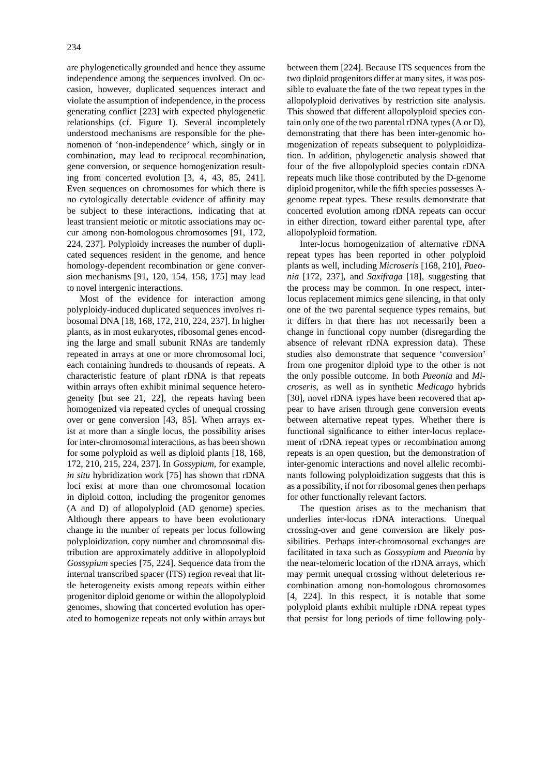are phylogenetically grounded and hence they assume independence among the sequences involved. On occasion, however, duplicated sequences interact and violate the assumption of independence, in the process generating conflict [223] with expected phylogenetic relationships (cf. Figure 1). Several incompletely understood mechanisms are responsible for the phenomenon of 'non-independence' which, singly or in combination, may lead to reciprocal recombination, gene conversion, or sequence homogenization resulting from concerted evolution [3, 4, 43, 85, 241]. Even sequences on chromosomes for which there is no cytologically detectable evidence of affinity may be subject to these interactions, indicating that at least transient meiotic or mitotic associations may occur among non-homologous chromosomes [91, 172, 224, 237]. Polyploidy increases the number of duplicated sequences resident in the genome, and hence homology-dependent recombination or gene conversion mechanisms [91, 120, 154, 158, 175] may lead to novel intergenic interactions.

Most of the evidence for interaction among polyploidy-induced duplicated sequences involves ribosomal DNA [18, 168, 172, 210, 224, 237]. In higher plants, as in most eukaryotes, ribosomal genes encoding the large and small subunit RNAs are tandemly repeated in arrays at one or more chromosomal loci, each containing hundreds to thousands of repeats. A characteristic feature of plant rDNA is that repeats within arrays often exhibit minimal sequence heterogeneity [but see 21, 22], the repeats having been homogenized via repeated cycles of unequal crossing over or gene conversion [43, 85]. When arrays exist at more than a single locus, the possibility arises for inter-chromosomal interactions, as has been shown for some polyploid as well as diploid plants [18, 168, 172, 210, 215, 224, 237]. In *Gossypium*, for example, *in situ* hybridization work [75] has shown that rDNA loci exist at more than one chromosomal location in diploid cotton, including the progenitor genomes (A and D) of allopolyploid (AD genome) species. Although there appears to have been evolutionary change in the number of repeats per locus following polyploidization, copy number and chromosomal distribution are approximately additive in allopolyploid *Gossypium* species [75, 224]. Sequence data from the internal transcribed spacer (ITS) region reveal that little heterogeneity exists among repeats within either progenitor diploid genome or within the allopolyploid genomes, showing that concerted evolution has operated to homogenize repeats not only within arrays but

between them [224]. Because ITS sequences from the two diploid progenitors differ at many sites, it was possible to evaluate the fate of the two repeat types in the allopolyploid derivatives by restriction site analysis. This showed that different allopolyploid species contain only one of the two parental rDNA types (A or D), demonstrating that there has been inter-genomic homogenization of repeats subsequent to polyploidization. In addition, phylogenetic analysis showed that four of the five allopolyploid species contain rDNA repeats much like those contributed by the D-genome diploid progenitor, while the fifth species possesses Agenome repeat types. These results demonstrate that concerted evolution among rDNA repeats can occur in either direction, toward either parental type, after allopolyploid formation.

Inter-locus homogenization of alternative rDNA repeat types has been reported in other polyploid plants as well, including *Microseris* [168, 210], *Paeonia* [172, 237], and *Saxifraga* [18], suggesting that the process may be common. In one respect, interlocus replacement mimics gene silencing, in that only one of the two parental sequence types remains, but it differs in that there has not necessarily been a change in functional copy number (disregarding the absence of relevant rDNA expression data). These studies also demonstrate that sequence 'conversion' from one progenitor diploid type to the other is not the only possible outcome. In both *Paeonia* and *Microseris*, as well as in synthetic *Medicago* hybrids [30], novel rDNA types have been recovered that appear to have arisen through gene conversion events between alternative repeat types. Whether there is functional significance to either inter-locus replacement of rDNA repeat types or recombination among repeats is an open question, but the demonstration of inter-genomic interactions and novel allelic recombinants following polyploidization suggests that this is as a possibility, if not for ribosomal genes then perhaps for other functionally relevant factors.

The question arises as to the mechanism that underlies inter-locus rDNA interactions. Unequal crossing-over and gene conversion are likely possibilities. Perhaps inter-chromosomal exchanges are facilitated in taxa such as *Gossypium* and *Paeonia* by the near-telomeric location of the rDNA arrays, which may permit unequal crossing without deleterious recombination among non-homologous chromosomes [4, 224]. In this respect, it is notable that some polyploid plants exhibit multiple rDNA repeat types that persist for long periods of time following poly-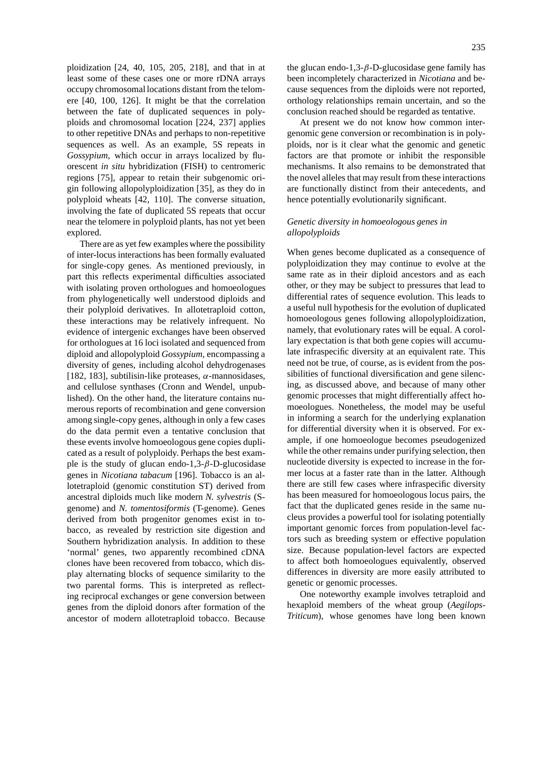ploidization [24, 40, 105, 205, 218], and that in at least some of these cases one or more rDNA arrays occupy chromosomal locations distant from the telomere [40, 100, 126]. It might be that the correlation between the fate of duplicated sequences in polyploids and chromosomal location [224, 237] applies to other repetitive DNAs and perhaps to non-repetitive sequences as well. As an example, 5S repeats in *Gossypium*, which occur in arrays localized by fluorescent *in situ* hybridization (FISH) to centromeric regions [75], appear to retain their subgenomic origin following allopolyploidization [35], as they do in polyploid wheats [42, 110]. The converse situation, involving the fate of duplicated 5S repeats that occur near the telomere in polyploid plants, has not yet been explored.

There are as yet few examples where the possibility of inter-locus interactions has been formally evaluated for single-copy genes. As mentioned previously, in part this reflects experimental difficulties associated with isolating proven orthologues and homoeologues from phylogenetically well understood diploids and their polyploid derivatives. In allotetraploid cotton, these interactions may be relatively infrequent. No evidence of intergenic exchanges have been observed for orthologues at 16 loci isolated and sequenced from diploid and allopolyploid *Gossypium*, encompassing a diversity of genes, including alcohol dehydrogenases [182, 183], subtilisin-like proteases, *α*-mannosidases, and cellulose synthases (Cronn and Wendel, unpublished). On the other hand, the literature contains numerous reports of recombination and gene conversion among single-copy genes, although in only a few cases do the data permit even a tentative conclusion that these events involve homoeologous gene copies duplicated as a result of polyploidy. Perhaps the best example is the study of glucan endo-1,3-*β*-D-glucosidase genes in *Nicotiana tabacum* [196]. Tobacco is an allotetraploid (genomic constitution ST) derived from ancestral diploids much like modern *N. sylvestris* (Sgenome) and *N. tomentosiformis* (T-genome). Genes derived from both progenitor genomes exist in tobacco, as revealed by restriction site digestion and Southern hybridization analysis. In addition to these 'normal' genes, two apparently recombined cDNA clones have been recovered from tobacco, which display alternating blocks of sequence similarity to the two parental forms. This is interpreted as reflecting reciprocal exchanges or gene conversion between genes from the diploid donors after formation of the ancestor of modern allotetraploid tobacco. Because

the glucan endo-1,3-*β*-D-glucosidase gene family has been incompletely characterized in *Nicotiana* and because sequences from the diploids were not reported, orthology relationships remain uncertain, and so the conclusion reached should be regarded as tentative.

At present we do not know how common intergenomic gene conversion or recombination is in polyploids, nor is it clear what the genomic and genetic factors are that promote or inhibit the responsible mechanisms. It also remains to be demonstrated that the novel alleles that may result from these interactions are functionally distinct from their antecedents, and hence potentially evolutionarily significant.

#### *Genetic diversity in homoeologous genes in allopolyploids*

When genes become duplicated as a consequence of polyploidization they may continue to evolve at the same rate as in their diploid ancestors and as each other, or they may be subject to pressures that lead to differential rates of sequence evolution. This leads to a useful null hypothesis for the evolution of duplicated homoeologous genes following allopolyploidization, namely, that evolutionary rates will be equal. A corollary expectation is that both gene copies will accumulate infraspecific diversity at an equivalent rate. This need not be true, of course, as is evident from the possibilities of functional diversification and gene silencing, as discussed above, and because of many other genomic processes that might differentially affect homoeologues. Nonetheless, the model may be useful in informing a search for the underlying explanation for differential diversity when it is observed. For example, if one homoeologue becomes pseudogenized while the other remains under purifying selection, then nucleotide diversity is expected to increase in the former locus at a faster rate than in the latter. Although there are still few cases where infraspecific diversity has been measured for homoeologous locus pairs, the fact that the duplicated genes reside in the same nucleus provides a powerful tool for isolating potentially important genomic forces from population-level factors such as breeding system or effective population size. Because population-level factors are expected to affect both homoeologues equivalently, observed differences in diversity are more easily attributed to genetic or genomic processes.

One noteworthy example involves tetraploid and hexaploid members of the wheat group (*Aegilops-Triticum*), whose genomes have long been known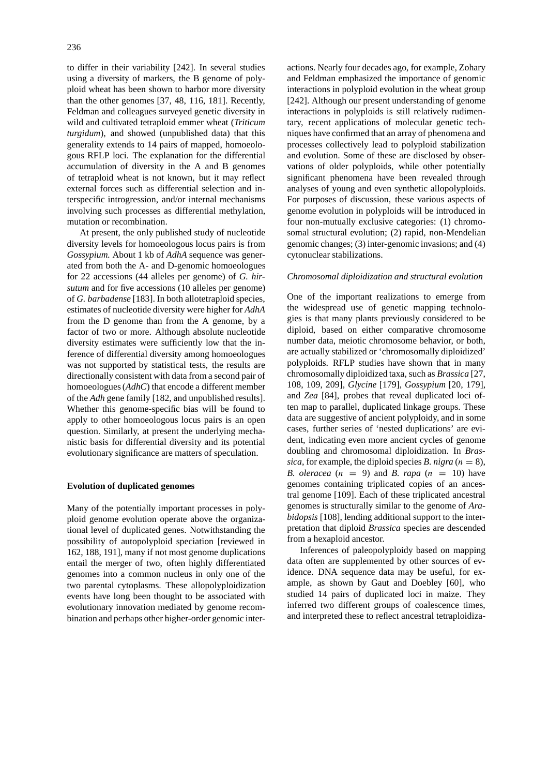to differ in their variability [242]. In several studies using a diversity of markers, the B genome of polyploid wheat has been shown to harbor more diversity than the other genomes [37, 48, 116, 181]. Recently, Feldman and colleagues surveyed genetic diversity in wild and cultivated tetraploid emmer wheat (*Triticum turgidum*), and showed (unpublished data) that this generality extends to 14 pairs of mapped, homoeologous RFLP loci. The explanation for the differential accumulation of diversity in the A and B genomes of tetraploid wheat is not known, but it may reflect external forces such as differential selection and interspecific introgression, and/or internal mechanisms involving such processes as differential methylation, mutation or recombination.

At present, the only published study of nucleotide diversity levels for homoeologous locus pairs is from *Gossypium.* About 1 kb of *AdhA* sequence was generated from both the A- and D-genomic homoeologues for 22 accessions (44 alleles per genome) of *G. hirsutum* and for five accessions (10 alleles per genome) of *G. barbadense* [183]. In both allotetraploid species, estimates of nucleotide diversity were higher for *AdhA* from the D genome than from the A genome, by a factor of two or more. Although absolute nucleotide diversity estimates were sufficiently low that the inference of differential diversity among homoeologues was not supported by statistical tests, the results are directionally consistent with data from a second pair of homoeologues (*AdhC*) that encode a different member of the *Adh* gene family [182, and unpublished results]. Whether this genome-specific bias will be found to apply to other homoeologous locus pairs is an open question. Similarly, at present the underlying mechanistic basis for differential diversity and its potential evolutionary significance are matters of speculation.

#### **Evolution of duplicated genomes**

Many of the potentially important processes in polyploid genome evolution operate above the organizational level of duplicated genes. Notwithstanding the possibility of autopolyploid speciation [reviewed in 162, 188, 191], many if not most genome duplications entail the merger of two, often highly differentiated genomes into a common nucleus in only one of the two parental cytoplasms. These allopolyploidization events have long been thought to be associated with evolutionary innovation mediated by genome recombination and perhaps other higher-order genomic interactions. Nearly four decades ago, for example, Zohary and Feldman emphasized the importance of genomic interactions in polyploid evolution in the wheat group [242]. Although our present understanding of genome interactions in polyploids is still relatively rudimentary, recent applications of molecular genetic techniques have confirmed that an array of phenomena and processes collectively lead to polyploid stabilization and evolution. Some of these are disclosed by observations of older polyploids, while other potentially significant phenomena have been revealed through analyses of young and even synthetic allopolyploids. For purposes of discussion, these various aspects of genome evolution in polyploids will be introduced in four non-mutually exclusive categories: (1) chromosomal structural evolution; (2) rapid, non-Mendelian genomic changes; (3) inter-genomic invasions; and (4) cytonuclear stabilizations.

## *Chromosomal diploidization and structural evolution*

One of the important realizations to emerge from the widespread use of genetic mapping technologies is that many plants previously considered to be diploid, based on either comparative chromosome number data, meiotic chromosome behavior, or both, are actually stabilized or 'chromosomally diploidized' polyploids. RFLP studies have shown that in many chromosomally diploidized taxa, such as *Brassica* [27, 108, 109, 209], *Glycine* [179], *Gossypium* [20, 179], and *Zea* [84], probes that reveal duplicated loci often map to parallel, duplicated linkage groups. These data are suggestive of ancient polyploidy, and in some cases, further series of 'nested duplications' are evident, indicating even more ancient cycles of genome doubling and chromosomal diploidization. In *Brassica*, for example, the diploid species *B. nigra* ( $n = 8$ ), *B. oleracea*  $(n = 9)$  and *B. rapa*  $(n = 10)$  have genomes containing triplicated copies of an ancestral genome [109]. Each of these triplicated ancestral genomes is structurally similar to the genome of *Arabidopsis* [108], lending additional support to the interpretation that diploid *Brassica* species are descended from a hexaploid ancestor.

Inferences of paleopolyploidy based on mapping data often are supplemented by other sources of evidence. DNA sequence data may be useful, for example, as shown by Gaut and Doebley [60], who studied 14 pairs of duplicated loci in maize. They inferred two different groups of coalescence times, and interpreted these to reflect ancestral tetraploidiza-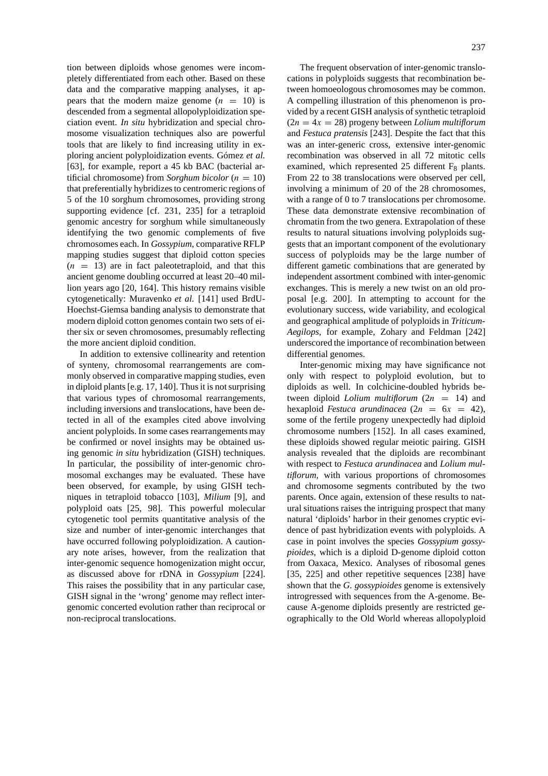tion between diploids whose genomes were incompletely differentiated from each other. Based on these data and the comparative mapping analyses, it appears that the modern maize genome  $(n = 10)$  is descended from a segmental allopolyploidization speciation event. *In situ* hybridization and special chromosome visualization techniques also are powerful tools that are likely to find increasing utility in exploring ancient polyploidization events. Gómez *et al.* [63], for example, report a 45 kb BAC (bacterial artificial chromosome) from *Sorghum bicolor*  $(n = 10)$ that preferentially hybridizes to centromeric regions of 5 of the 10 sorghum chromosomes, providing strong supporting evidence [cf. 231, 235] for a tetraploid genomic ancestry for sorghum while simultaneously identifying the two genomic complements of five chromosomes each. In *Gossypium*, comparative RFLP mapping studies suggest that diploid cotton species  $(n = 13)$  are in fact paleotetraploid, and that this ancient genome doubling occurred at least 20–40 million years ago [20, 164]. This history remains visible cytogenetically: Muravenko *et al.* [141] used BrdU-Hoechst-Giemsa banding analysis to demonstrate that modern diploid cotton genomes contain two sets of either six or seven chromosomes, presumably reflecting the more ancient diploid condition.

In addition to extensive collinearity and retention of synteny, chromosomal rearrangements are commonly observed in comparative mapping studies, even in diploid plants [e.g. 17, 140]. Thus it is not surprising that various types of chromosomal rearrangements, including inversions and translocations, have been detected in all of the examples cited above involving ancient polyploids. In some cases rearrangements may be confirmed or novel insights may be obtained using genomic *in situ* hybridization (GISH) techniques. In particular, the possibility of inter-genomic chromosomal exchanges may be evaluated. These have been observed, for example, by using GISH techniques in tetraploid tobacco [103], *Milium* [9], and polyploid oats [25, 98]. This powerful molecular cytogenetic tool permits quantitative analysis of the size and number of inter-genomic interchanges that have occurred following polyploidization. A cautionary note arises, however, from the realization that inter-genomic sequence homogenization might occur, as discussed above for rDNA in *Gossypium* [224]. This raises the possibility that in any particular case, GISH signal in the 'wrong' genome may reflect intergenomic concerted evolution rather than reciprocal or non-reciprocal translocations.

The frequent observation of inter-genomic translocations in polyploids suggests that recombination between homoeologous chromosomes may be common. A compelling illustration of this phenomenon is provided by a recent GISH analysis of synthetic tetraploid  $(2n = 4x = 28)$  progeny between *Lolium multiflorum* and *Festuca pratensis* [243]. Despite the fact that this was an inter-generic cross, extensive inter-genomic recombination was observed in all 72 mitotic cells examined, which represented  $25$  different  $F_8$  plants. From 22 to 38 translocations were observed per cell, involving a minimum of 20 of the 28 chromosomes, with a range of 0 to 7 translocations per chromosome. These data demonstrate extensive recombination of chromatin from the two genera. Extrapolation of these results to natural situations involving polyploids suggests that an important component of the evolutionary success of polyploids may be the large number of different gametic combinations that are generated by independent assortment combined with inter-genomic exchanges. This is merely a new twist on an old proposal [e.g. 200]. In attempting to account for the evolutionary success, wide variability, and ecological and geographical amplitude of polyploids in *Triticum*-*Aegilops*, for example, Zohary and Feldman [242] underscored the importance of recombination between differential genomes.

Inter-genomic mixing may have significance not only with respect to polyploid evolution, but to diploids as well. In colchicine-doubled hybrids between diploid *Lolium multiflorum*  $(2n = 14)$  and hexaploid *Festuca arundinacea*  $(2n = 6x = 42)$ , some of the fertile progeny unexpectedly had diploid chromosome numbers [152]. In all cases examined, these diploids showed regular meiotic pairing. GISH analysis revealed that the diploids are recombinant with respect to *Festuca arundinacea* and *Lolium multiflorum*, with various proportions of chromosomes and chromosome segments contributed by the two parents. Once again, extension of these results to natural situations raises the intriguing prospect that many natural 'diploids' harbor in their genomes cryptic evidence of past hybridization events with polyploids. A case in point involves the species *Gossypium gossypioides*, which is a diploid D-genome diploid cotton from Oaxaca, Mexico. Analyses of ribosomal genes [35, 225] and other repetitive sequences [238] have shown that the *G. gossypioides* genome is extensively introgressed with sequences from the A-genome. Because A-genome diploids presently are restricted geographically to the Old World whereas allopolyploid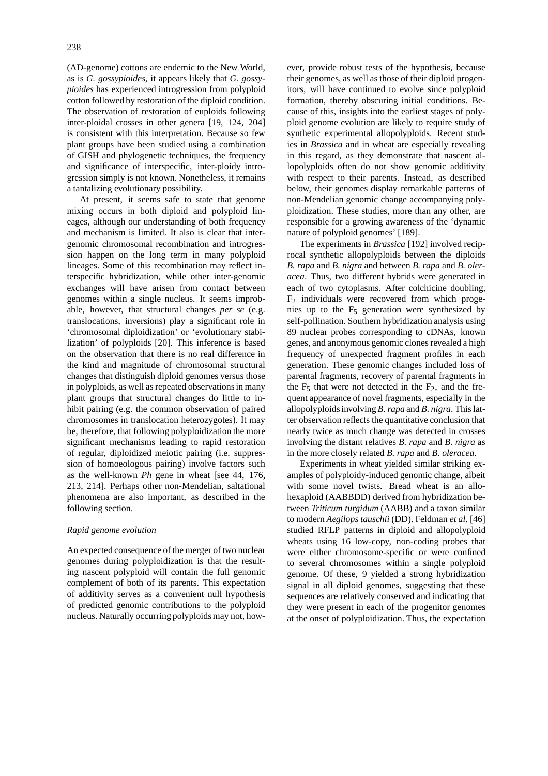(AD-genome) cottons are endemic to the New World, as is *G. gossypioides*, it appears likely that *G. gossypioides* has experienced introgression from polyploid cotton followed by restoration of the diploid condition. The observation of restoration of euploids following inter-ploidal crosses in other genera [19, 124, 204] is consistent with this interpretation. Because so few plant groups have been studied using a combination of GISH and phylogenetic techniques, the frequency and significance of interspecific, inter-ploidy introgression simply is not known. Nonetheless, it remains a tantalizing evolutionary possibility.

At present, it seems safe to state that genome mixing occurs in both diploid and polyploid lineages, although our understanding of both frequency and mechanism is limited. It also is clear that intergenomic chromosomal recombination and introgression happen on the long term in many polyploid lineages. Some of this recombination may reflect interspecific hybridization, while other inter-genomic exchanges will have arisen from contact between genomes within a single nucleus. It seems improbable, however, that structural changes *per se* (e.g. translocations, inversions) play a significant role in 'chromosomal diploidization' or 'evolutionary stabilization' of polyploids [20]. This inference is based on the observation that there is no real difference in the kind and magnitude of chromosomal structural changes that distinguish diploid genomes versus those in polyploids, as well as repeated observations in many plant groups that structural changes do little to inhibit pairing (e.g. the common observation of paired chromosomes in translocation heterozygotes). It may be, therefore, that following polyploidization the more significant mechanisms leading to rapid restoration of regular, diploidized meiotic pairing (i.e. suppression of homoeologous pairing) involve factors such as the well-known *Ph* gene in wheat [see 44, 176, 213, 214]. Perhaps other non-Mendelian, saltational phenomena are also important, as described in the following section.

#### *Rapid genome evolution*

An expected consequence of the merger of two nuclear genomes during polyploidization is that the resulting nascent polyploid will contain the full genomic complement of both of its parents. This expectation of additivity serves as a convenient null hypothesis of predicted genomic contributions to the polyploid nucleus. Naturally occurring polyploids may not, however, provide robust tests of the hypothesis, because their genomes, as well as those of their diploid progenitors, will have continued to evolve since polyploid formation, thereby obscuring initial conditions. Because of this, insights into the earliest stages of polyploid genome evolution are likely to require study of synthetic experimental allopolyploids. Recent studies in *Brassica* and in wheat are especially revealing in this regard, as they demonstrate that nascent allopolyploids often do not show genomic additivity with respect to their parents. Instead, as described below, their genomes display remarkable patterns of non-Mendelian genomic change accompanying polyploidization. These studies, more than any other, are responsible for a growing awareness of the 'dynamic nature of polyploid genomes' [189].

The experiments in *Brassica* [192] involved reciprocal synthetic allopolyploids between the diploids *B. rapa* and *B. nigra* and between *B. rapa* and *B. oleracea*. Thus, two different hybrids were generated in each of two cytoplasms. After colchicine doubling,  $F<sub>2</sub>$  individuals were recovered from which progenies up to the  $F<sub>5</sub>$  generation were synthesized by self-pollination. Southern hybridization analysis using 89 nuclear probes corresponding to cDNAs, known genes, and anonymous genomic clones revealed a high frequency of unexpected fragment profiles in each generation. These genomic changes included loss of parental fragments, recovery of parental fragments in the  $F_5$  that were not detected in the  $F_2$ , and the frequent appearance of novel fragments, especially in the allopolyploids involving *B. rapa* and *B. nigra*. This latter observation reflects the quantitative conclusion that nearly twice as much change was detected in crosses involving the distant relatives *B. rapa* and *B. nigra* as in the more closely related *B. rapa* and *B. oleracea*.

Experiments in wheat yielded similar striking examples of polyploidy-induced genomic change, albeit with some novel twists. Bread wheat is an allohexaploid (AABBDD) derived from hybridization between *Triticum turgidum* (AABB) and a taxon similar to modern *Aegilops tauschii* (DD). Feldman *et al.* [46] studied RFLP patterns in diploid and allopolyploid wheats using 16 low-copy, non-coding probes that were either chromosome-specific or were confined to several chromosomes within a single polyploid genome. Of these, 9 yielded a strong hybridization signal in all diploid genomes, suggesting that these sequences are relatively conserved and indicating that they were present in each of the progenitor genomes at the onset of polyploidization. Thus, the expectation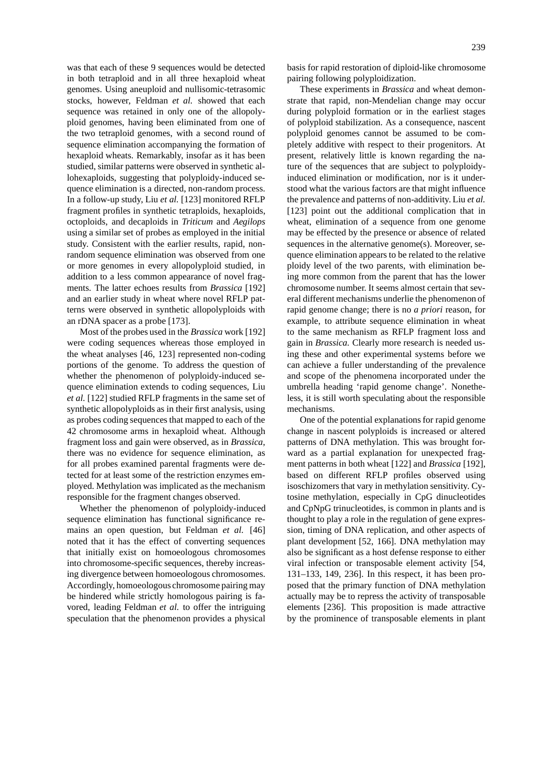was that each of these 9 sequences would be detected in both tetraploid and in all three hexaploid wheat genomes. Using aneuploid and nullisomic-tetrasomic stocks, however, Feldman *et al.* showed that each sequence was retained in only one of the allopolyploid genomes, having been eliminated from one of the two tetraploid genomes, with a second round of sequence elimination accompanying the formation of hexaploid wheats. Remarkably, insofar as it has been studied, similar patterns were observed in synthetic allohexaploids, suggesting that polyploidy-induced sequence elimination is a directed, non-random process. In a follow-up study, Liu *et al.* [123] monitored RFLP fragment profiles in synthetic tetraploids, hexaploids, octoploids, and decaploids in *Triticum* and *Aegilops* using a similar set of probes as employed in the initial study. Consistent with the earlier results, rapid, nonrandom sequence elimination was observed from one or more genomes in every allopolyploid studied, in addition to a less common appearance of novel fragments. The latter echoes results from *Brassica* [192] and an earlier study in wheat where novel RFLP patterns were observed in synthetic allopolyploids with an rDNA spacer as a probe [173].

Most of the probes used in the *Brassica* work [192] were coding sequences whereas those employed in the wheat analyses [46, 123] represented non-coding portions of the genome. To address the question of whether the phenomenon of polyploidy-induced sequence elimination extends to coding sequences, Liu *et al.* [122] studied RFLP fragments in the same set of synthetic allopolyploids as in their first analysis, using as probes coding sequences that mapped to each of the 42 chromosome arms in hexaploid wheat. Although fragment loss and gain were observed, as in *Brassica*, there was no evidence for sequence elimination, as for all probes examined parental fragments were detected for at least some of the restriction enzymes employed. Methylation was implicated as the mechanism responsible for the fragment changes observed.

Whether the phenomenon of polyploidy-induced sequence elimination has functional significance remains an open question, but Feldman *et al.* [46] noted that it has the effect of converting sequences that initially exist on homoeologous chromosomes into chromosome-specific sequences, thereby increasing divergence between homoeologous chromosomes. Accordingly, homoeologous chromosome pairing may be hindered while strictly homologous pairing is favored, leading Feldman *et al.* to offer the intriguing speculation that the phenomenon provides a physical

basis for rapid restoration of diploid-like chromosome pairing following polyploidization.

These experiments in *Brassica* and wheat demonstrate that rapid, non-Mendelian change may occur during polyploid formation or in the earliest stages of polyploid stabilization. As a consequence, nascent polyploid genomes cannot be assumed to be completely additive with respect to their progenitors. At present, relatively little is known regarding the nature of the sequences that are subject to polyploidyinduced elimination or modification, nor is it understood what the various factors are that might influence the prevalence and patterns of non-additivity. Liu *et al.* [123] point out the additional complication that in wheat, elimination of a sequence from one genome may be effected by the presence or absence of related sequences in the alternative genome(s). Moreover, sequence elimination appears to be related to the relative ploidy level of the two parents, with elimination being more common from the parent that has the lower chromosome number. It seems almost certain that several different mechanisms underlie the phenomenon of rapid genome change; there is no *a priori* reason, for example, to attribute sequence elimination in wheat to the same mechanism as RFLP fragment loss and gain in *Brassica.* Clearly more research is needed using these and other experimental systems before we can achieve a fuller understanding of the prevalence and scope of the phenomena incorporated under the umbrella heading 'rapid genome change'. Nonetheless, it is still worth speculating about the responsible mechanisms.

One of the potential explanations for rapid genome change in nascent polyploids is increased or altered patterns of DNA methylation. This was brought forward as a partial explanation for unexpected fragment patterns in both wheat [122] and *Brassica* [192], based on different RFLP profiles observed using isoschizomers that vary in methylation sensitivity. Cytosine methylation, especially in CpG dinucleotides and CpNpG trinucleotides, is common in plants and is thought to play a role in the regulation of gene expression, timing of DNA replication, and other aspects of plant development [52, 166]. DNA methylation may also be significant as a host defense response to either viral infection or transposable element activity [54, 131–133, 149, 236]. In this respect, it has been proposed that the primary function of DNA methylation actually may be to repress the activity of transposable elements [236]. This proposition is made attractive by the prominence of transposable elements in plant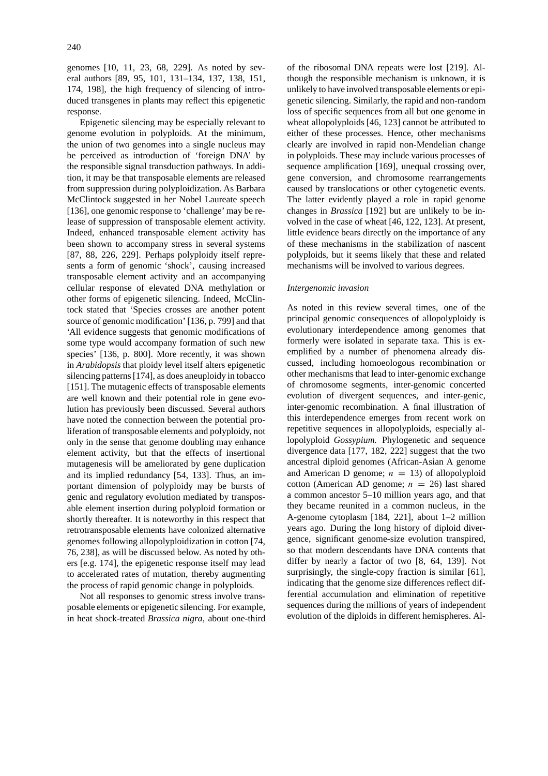genomes [10, 11, 23, 68, 229]. As noted by several authors [89, 95, 101, 131–134, 137, 138, 151, 174, 198], the high frequency of silencing of introduced transgenes in plants may reflect this epigenetic response.

Epigenetic silencing may be especially relevant to genome evolution in polyploids. At the minimum, the union of two genomes into a single nucleus may be perceived as introduction of 'foreign DNA' by the responsible signal transduction pathways. In addition, it may be that transposable elements are released from suppression during polyploidization. As Barbara McClintock suggested in her Nobel Laureate speech [136], one genomic response to 'challenge' may be release of suppression of transposable element activity. Indeed, enhanced transposable element activity has been shown to accompany stress in several systems [87, 88, 226, 229]. Perhaps polyploidy itself represents a form of genomic 'shock', causing increased transposable element activity and an accompanying cellular response of elevated DNA methylation or other forms of epigenetic silencing. Indeed, McClintock stated that 'Species crosses are another potent source of genomic modification' [136, p. 799] and that 'All evidence suggests that genomic modifications of some type would accompany formation of such new species' [136, p. 800]. More recently, it was shown in *Arabidopsis* that ploidy level itself alters epigenetic silencing patterns [174], as does aneuploidy in tobacco [151]. The mutagenic effects of transposable elements are well known and their potential role in gene evolution has previously been discussed. Several authors have noted the connection between the potential proliferation of transposable elements and polyploidy, not only in the sense that genome doubling may enhance element activity, but that the effects of insertional mutagenesis will be ameliorated by gene duplication and its implied redundancy [54, 133]. Thus, an important dimension of polyploidy may be bursts of genic and regulatory evolution mediated by transposable element insertion during polyploid formation or shortly thereafter. It is noteworthy in this respect that retrotransposable elements have colonized alternative genomes following allopolyploidization in cotton [74, 76, 238], as will be discussed below. As noted by others [e.g. 174], the epigenetic response itself may lead to accelerated rates of mutation, thereby augmenting the process of rapid genomic change in polyploids.

Not all responses to genomic stress involve transposable elements or epigenetic silencing. For example, in heat shock-treated *Brassica nigra*, about one-third of the ribosomal DNA repeats were lost [219]. Although the responsible mechanism is unknown, it is unlikely to have involved transposable elements or epigenetic silencing. Similarly, the rapid and non-random loss of specific sequences from all but one genome in wheat allopolyploids [46, 123] cannot be attributed to either of these processes. Hence, other mechanisms clearly are involved in rapid non-Mendelian change in polyploids. These may include various processes of sequence amplification [169], unequal crossing over, gene conversion, and chromosome rearrangements caused by translocations or other cytogenetic events. The latter evidently played a role in rapid genome changes in *Brassica* [192] but are unlikely to be involved in the case of wheat [46, 122, 123]. At present, little evidence bears directly on the importance of any of these mechanisms in the stabilization of nascent polyploids, but it seems likely that these and related mechanisms will be involved to various degrees.

## *Intergenomic invasion*

As noted in this review several times, one of the principal genomic consequences of allopolyploidy is evolutionary interdependence among genomes that formerly were isolated in separate taxa. This is exemplified by a number of phenomena already discussed, including homoeologous recombination or other mechanisms that lead to inter-genomic exchange of chromosome segments, inter-genomic concerted evolution of divergent sequences, and inter-genic, inter-genomic recombination. A final illustration of this interdependence emerges from recent work on repetitive sequences in allopolyploids, especially allopolyploid *Gossypium.* Phylogenetic and sequence divergence data [177, 182, 222] suggest that the two ancestral diploid genomes (African-Asian A genome and American D genome;  $n = 13$ ) of allopolyploid cotton (American AD genome;  $n = 26$ ) last shared a common ancestor 5–10 million years ago, and that they became reunited in a common nucleus, in the A-genome cytoplasm [184, 221], about 1–2 million years ago. During the long history of diploid divergence, significant genome-size evolution transpired, so that modern descendants have DNA contents that differ by nearly a factor of two [8, 64, 139]. Not surprisingly, the single-copy fraction is similar [61], indicating that the genome size differences reflect differential accumulation and elimination of repetitive sequences during the millions of years of independent evolution of the diploids in different hemispheres. Al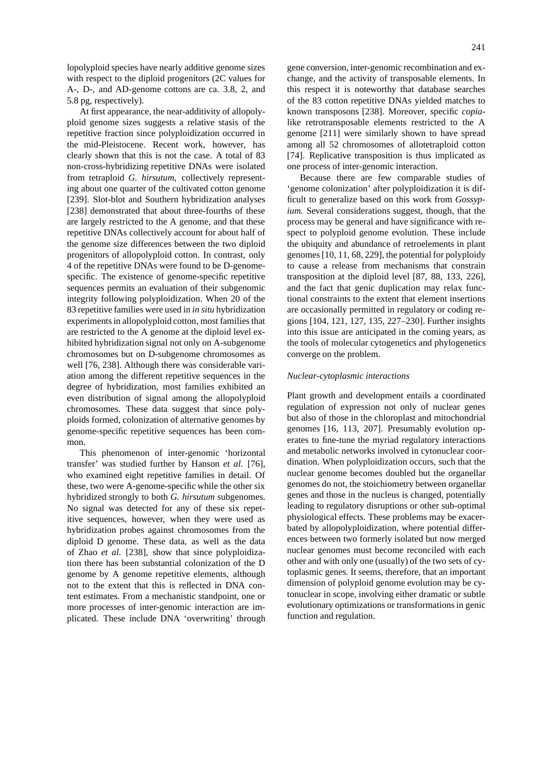lopolyploid species have nearly additive genome sizes with respect to the diploid progenitors (2C values for A-, D-, and AD-genome cottons are ca. 3.8, 2, and 5.8 pg, respectively).

At first appearance, the near-additivity of allopolyploid genome sizes suggests a relative stasis of the repetitive fraction since polyploidization occurred in the mid-Pleistocene. Recent work, however, has clearly shown that this is not the case. A total of 83 non-cross-hybridizing repetitive DNAs were isolated from tetraploid *G. hirsutum*, collectively representing about one quarter of the cultivated cotton genome [239]. Slot-blot and Southern hybridization analyses [238] demonstrated that about three-fourths of these are largely restricted to the A genome, and that these repetitive DNAs collectively account for about half of the genome size differences between the two diploid progenitors of allopolyploid cotton. In contrast, only 4 of the repetitive DNAs were found to be D-genomespecific. The existence of genome-specific repetitive sequences permits an evaluation of their subgenomic integrity following polyploidization. When 20 of the 83 repetitive families were used in *in situ* hybridization experiments in allopolyploid cotton, most families that are restricted to the A genome at the diploid level exhibited hybridization signal not only on A-subgenome chromosomes but on D-subgenome chromosomes as well [76, 238]. Although there was considerable variation among the different repetitive sequences in the degree of hybridization, most families exhibited an even distribution of signal among the allopolyploid chromosomes. These data suggest that since polyploids formed, colonization of alternative genomes by genome-specific repetitive sequences has been common.

This phenomenon of inter-genomic 'horizontal transfer' was studied further by Hanson *et al.* [76], who examined eight repetitive families in detail. Of these, two were A-genome-specific while the other six hybridized strongly to both *G. hirsutum* subgenomes. No signal was detected for any of these six repetitive sequences, however, when they were used as hybridization probes against chromosomes from the diploid D genome. These data, as well as the data of Zhao *et al.* [238], show that since polyploidization there has been substantial colonization of the D genome by A genome repetitive elements, although not to the extent that this is reflected in DNA content estimates. From a mechanistic standpoint, one or more processes of inter-genomic interaction are implicated. These include DNA 'overwriting' through gene conversion, inter-genomic recombination and exchange, and the activity of transposable elements. In this respect it is noteworthy that database searches of the 83 cotton repetitive DNAs yielded matches to known transposons [238]. Moreover, specific *copia*like retrotransposable elements restricted to the A genome [211] were similarly shown to have spread among all 52 chromosomes of allotetraploid cotton [74]. Replicative transposition is thus implicated as one process of inter-genomic interaction.

Because there are few comparable studies of 'genome colonization' after polyploidization it is difficult to generalize based on this work from *Gossypium.* Several considerations suggest, though, that the process may be general and have significance with respect to polyploid genome evolution. These include the ubiquity and abundance of retroelements in plant genomes [10, 11, 68, 229], the potential for polyploidy to cause a release from mechanisms that constrain transposition at the diploid level [87, 88, 133, 226], and the fact that genic duplication may relax functional constraints to the extent that element insertions are occasionally permitted in regulatory or coding regions [104, 121, 127, 135, 227–230]. Further insights into this issue are anticipated in the coming years, as the tools of molecular cytogenetics and phylogenetics converge on the problem.

#### *Nuclear-cytoplasmic interactions*

Plant growth and development entails a coordinated regulation of expression not only of nuclear genes but also of those in the chloroplast and mitochondrial genomes [16, 113, 207]. Presumably evolution operates to fine-tune the myriad regulatory interactions and metabolic networks involved in cytonuclear coordination. When polyploidization occurs, such that the nuclear genome becomes doubled but the organellar genomes do not, the stoichiometry between organellar genes and those in the nucleus is changed, potentially leading to regulatory disruptions or other sub-optimal physiological effects. These problems may be exacerbated by allopolyploidization, where potential differences between two formerly isolated but now merged nuclear genomes must become reconciled with each other and with only one (usually) of the two sets of cytoplasmic genes. It seems, therefore, that an important dimension of polyploid genome evolution may be cytonuclear in scope, involving either dramatic or subtle evolutionary optimizations or transformations in genic function and regulation.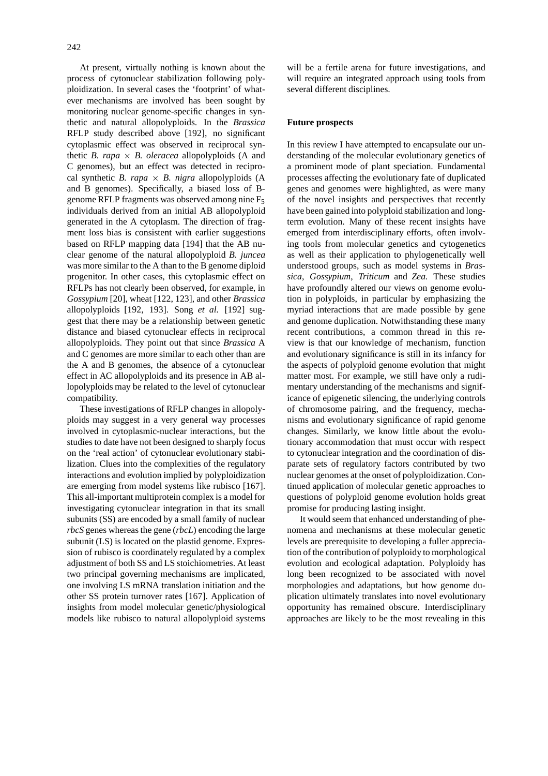At present, virtually nothing is known about the process of cytonuclear stabilization following polyploidization. In several cases the 'footprint' of whatever mechanisms are involved has been sought by monitoring nuclear genome-specific changes in synthetic and natural allopolyploids. In the *Brassica* RFLP study described above [192], no significant cytoplasmic effect was observed in reciprocal synthetic *B. rapa*  $\times$  *B. oleracea* allopolyploids (A and C genomes), but an effect was detected in reciprocal synthetic *B. rapa*  $\times$  *B. nigra* allopolyploids (A and B genomes). Specifically, a biased loss of Bgenome RFLP fragments was observed among nine F5 individuals derived from an initial AB allopolyploid generated in the A cytoplasm. The direction of fragment loss bias is consistent with earlier suggestions based on RFLP mapping data [194] that the AB nuclear genome of the natural allopolyploid *B. juncea* was more similar to the A than to the B genome diploid progenitor. In other cases, this cytoplasmic effect on RFLPs has not clearly been observed, for example, in *Gossypium* [20], wheat [122, 123], and other *Brassica* allopolyploids [192, 193]. Song *et al.* [192] suggest that there may be a relationship between genetic distance and biased cytonuclear effects in reciprocal allopolyploids. They point out that since *Brassica* A and C genomes are more similar to each other than are the A and B genomes, the absence of a cytonuclear effect in AC allopolyploids and its presence in AB allopolyploids may be related to the level of cytonuclear compatibility.

These investigations of RFLP changes in allopolyploids may suggest in a very general way processes involved in cytoplasmic-nuclear interactions, but the studies to date have not been designed to sharply focus on the 'real action' of cytonuclear evolutionary stabilization. Clues into the complexities of the regulatory interactions and evolution implied by polyploidization are emerging from model systems like rubisco [167]. This all-important multiprotein complex is a model for investigating cytonuclear integration in that its small subunits (SS) are encoded by a small family of nuclear *rbcS* genes whereas the gene (*rbcL*) encoding the large subunit (LS) is located on the plastid genome. Expression of rubisco is coordinately regulated by a complex adjustment of both SS and LS stoichiometries. At least two principal governing mechanisms are implicated, one involving LS mRNA translation initiation and the other SS protein turnover rates [167]. Application of insights from model molecular genetic/physiological models like rubisco to natural allopolyploid systems

will be a fertile arena for future investigations, and will require an integrated approach using tools from several different disciplines.

## **Future prospects**

In this review I have attempted to encapsulate our understanding of the molecular evolutionary genetics of a prominent mode of plant speciation. Fundamental processes affecting the evolutionary fate of duplicated genes and genomes were highlighted, as were many of the novel insights and perspectives that recently have been gained into polyploid stabilization and longterm evolution. Many of these recent insights have emerged from interdisciplinary efforts, often involving tools from molecular genetics and cytogenetics as well as their application to phylogenetically well understood groups, such as model systems in *Brassica*, *Gossypium*, *Triticum* and *Zea.* These studies have profoundly altered our views on genome evolution in polyploids, in particular by emphasizing the myriad interactions that are made possible by gene and genome duplication. Notwithstanding these many recent contributions, a common thread in this review is that our knowledge of mechanism, function and evolutionary significance is still in its infancy for the aspects of polyploid genome evolution that might matter most. For example, we still have only a rudimentary understanding of the mechanisms and significance of epigenetic silencing, the underlying controls of chromosome pairing, and the frequency, mechanisms and evolutionary significance of rapid genome changes. Similarly, we know little about the evolutionary accommodation that must occur with respect to cytonuclear integration and the coordination of disparate sets of regulatory factors contributed by two nuclear genomes at the onset of polyploidization. Continued application of molecular genetic approaches to questions of polyploid genome evolution holds great promise for producing lasting insight.

It would seem that enhanced understanding of phenomena and mechanisms at these molecular genetic levels are prerequisite to developing a fuller appreciation of the contribution of polyploidy to morphological evolution and ecological adaptation. Polyploidy has long been recognized to be associated with novel morphologies and adaptations, but how genome duplication ultimately translates into novel evolutionary opportunity has remained obscure. Interdisciplinary approaches are likely to be the most revealing in this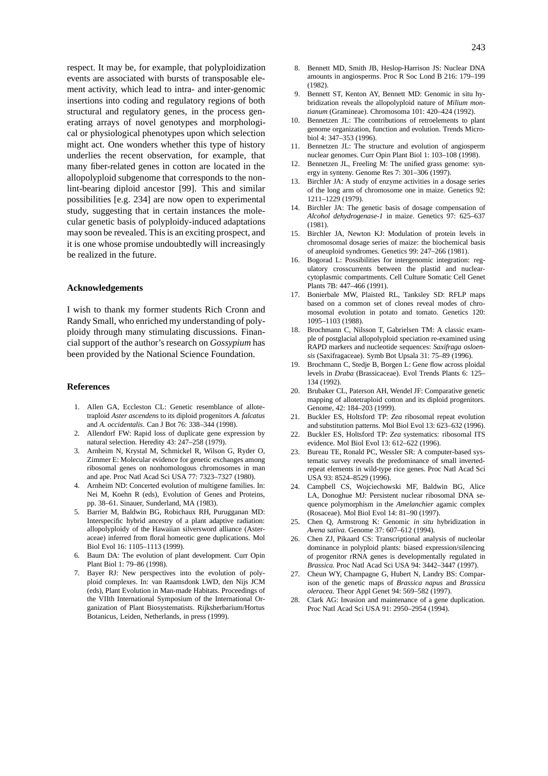respect. It may be, for example, that polyploidization events are associated with bursts of transposable element activity, which lead to intra- and inter-genomic insertions into coding and regulatory regions of both structural and regulatory genes, in the process generating arrays of novel genotypes and morphological or physiological phenotypes upon which selection might act. One wonders whether this type of history underlies the recent observation, for example, that many fiber-related genes in cotton are located in the allopolyploid subgenome that corresponds to the nonlint-bearing diploid ancestor [99]. This and similar possibilities [e.g. 234] are now open to experimental study, suggesting that in certain instances the molecular genetic basis of polyploidy-induced adaptations may soon be revealed. This is an exciting prospect, and it is one whose promise undoubtedly will increasingly be realized in the future.

#### **Acknowledgements**

I wish to thank my former students Rich Cronn and Randy Small, who enriched my understanding of polyploidy through many stimulating discussions. Financial support of the author's research on *Gossypium* has been provided by the National Science Foundation.

## **References**

- 1. Allen GA, Eccleston CL: Genetic resemblance of allotetraploid *Aster ascendens* to its diploid progenitors *A. falcatus* and *A. occidentalis*. Can J Bot 76: 338–344 (1998).
- 2. Allendorf FW: Rapid loss of duplicate gene expression by natural selection. Heredity 43: 247–258 (1979).
- 3. Arnheim N, Krystal M, Schmickel R, Wilson G, Ryder O, Zimmer E: Molecular evidence for genetic exchanges among ribosomal genes on nonhomologous chromosomes in man and ape. Proc Natl Acad Sci USA 77: 7323–7327 (1980).
- 4. Arnheim ND: Concerted evolution of multigene families. In: Nei M, Koehn R (eds), Evolution of Genes and Proteins, pp. 38–61. Sinauer, Sunderland, MA (1983).
- 5. Barrier M, Baldwin BG, Robichaux RH, Purugganan MD: Interspecific hybrid ancestry of a plant adaptive radiation: allopolyploidy of the Hawaiian silversword alliance (Asteraceae) inferred from floral homeotic gene duplications. Mol Biol Evol 16: 1105–1113 (1999).
- Baum DA: The evolution of plant development. Curr Opin Plant Biol 1: 79–86 (1998).
- 7. Bayer RJ: New perspectives into the evolution of polyploid complexes. In: van Raamsdonk LWD, den Nijs JCM (eds), Plant Evolution in Man-made Habitats. Proceedings of the VIIth International Symposium of the International Organization of Plant Biosystematists. Rijksherbarium/Hortus Botanicus, Leiden, Netherlands, in press (1999).
- 8. Bennett MD, Smith JB, Heslop-Harrison JS: Nuclear DNA amounts in angiosperms. Proc R Soc Lond B 216: 179–199 (1982).
- 9. Bennett ST, Kenton AY, Bennett MD: Genomic in situ hybridization reveals the allopolyploid nature of *Milium montianum* (Gramineae). Chromosoma 101: 420–424 (1992).
- 10. Bennetzen JL: The contributions of retroelements to plant genome organization, function and evolution. Trends Microbiol 4: 347–353 (1996).
- 11. Bennetzen JL: The structure and evolution of angiosperm nuclear genomes. Curr Opin Plant Biol 1: 103–108 (1998).
- 12. Bennetzen JL, Freeling M: The unified grass genome: synergy in synteny. Genome Res 7: 301–306 (1997).
- 13. Birchler JA: A study of enzyme activities in a dosage series of the long arm of chromosome one in maize. Genetics 92: 1211–1229 (1979).
- 14. Birchler JA: The genetic basis of dosage compensation of *Alcohol dehydrogenase-1* in maize. Genetics 97: 625–637 (1981).
- 15. Birchler JA, Newton KJ: Modulation of protein levels in chromosomal dosage series of maize: the biochemical basis of aneuploid syndromes. Genetics 99: 247–266 (1981).
- 16. Bogorad L: Possibilities for intergenomic integration: regulatory crosscurrents between the plastid and nuclearcytoplasmic compartments. Cell Culture Somatic Cell Genet Plants 7B: 447–466 (1991).
- 17. Bonierbale MW, Plaisted RL, Tanksley SD: RFLP maps based on a common set of clones reveal modes of chromosomal evolution in potato and tomato. Genetics 120: 1095–1103 (1988).
- 18. Brochmann C, Nilsson T, Gabrielsen TM: A classic example of postglacial allopolyploid speciation re-examined using RAPD markers and nucleotide sequences: *Saxifraga osloensis* (Saxifragaceae). Symb Bot Upsala 31: 75–89 (1996).
- 19. Brochmann C, Stedje B, Borgen L: Gene flow across ploidal levels in *Draba* (Brassicaceae). Evol Trends Plants 6: 125– 134 (1992).
- 20. Brubaker CL, Paterson AH, Wendel JF: Comparative genetic mapping of allotetraploid cotton and its diploid progenitors. Genome, 42: 184–203 (1999).
- 21. Buckler ES, Holtsford TP: *Zea* ribosomal repeat evolution and substitution patterns. Mol Biol Evol 13: 623–632 (1996).
- 22. Buckler ES, Holtsford TP: *Zea* systematics: ribosomal ITS evidence. Mol Biol Evol 13: 612–622 (1996).
- 23. Bureau TE, Ronald PC, Wessler SR: A computer-based systematic survey reveals the predominance of small invertedrepeat elements in wild-type rice genes. Proc Natl Acad Sci USA 93: 8524–8529 (1996).
- 24. Campbell CS, Wojciechowski MF, Baldwin BG, Alice LA, Donoghue MJ: Persistent nuclear ribosomal DNA sequence polymorphism in the *Amelanchier* agamic complex (Rosaceae). Mol Biol Evol 14: 81–90 (1997).
- 25. Chen Q, Armstrong K: Genomic *in situ* hybridization in *Avena sativa.* Genome 37: 607–612 (1994).
- 26. Chen ZJ, Pikaard CS: Transcriptional analysis of nucleolar dominance in polyploid plants: biased expression/silencing of progenitor rRNA genes is developmentally regulated in *Brassica.* Proc Natl Acad Sci USA 94: 3442–3447 (1997).
- 27. Cheun WY, Champagne G, Hubert N, Landry BS: Comparison of the genetic maps of *Brassica napus* and *Brassica oleracea.* Theor Appl Genet 94: 569–582 (1997).
- 28. Clark AG: Invasion and maintenance of a gene duplication. Proc Natl Acad Sci USA 91: 2950–2954 (1994).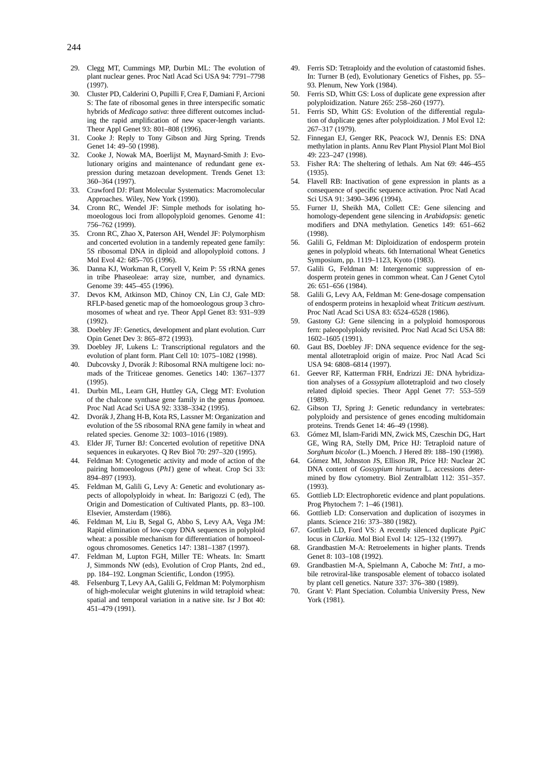- 29. Clegg MT, Cummings MP, Durbin ML: The evolution of plant nuclear genes. Proc Natl Acad Sci USA 94: 7791–7798  $(1997)$ .
- 30. Cluster PD, Calderini O, Pupilli F, Crea F, Damiani F, Arcioni S: The fate of ribosomal genes in three interspecific somatic hybrids of *Medicago sativa*: three different outcomes including the rapid amplification of new spacer-length variants. Theor Appl Genet 93: 801–808 (1996).
- 31. Cooke J: Reply to Tony Gibson and Jürg Spring. Trends Genet 14: 49–50 (1998).
- 32. Cooke J, Nowak MA, Boerlijst M, Maynard-Smith J: Evolutionary origins and maintenance of redundant gene expression during metazoan development. Trends Genet 13: 360–364 (1997).
- 33. Crawford DJ: Plant Molecular Systematics: Macromolecular Approaches. Wiley, New York (1990).
- 34. Cronn RC, Wendel JF: Simple methods for isolating homoeologous loci from allopolyploid genomes. Genome 41: 756–762 (1999).
- 35. Cronn RC, Zhao X, Paterson AH, Wendel JF: Polymorphism and concerted evolution in a tandemly repeated gene family: 5S ribosomal DNA in diploid and allopolyploid cottons. J Mol Evol 42: 685–705 (1996).
- 36. Danna KJ, Workman R, Coryell V, Keim P: 5S rRNA genes in tribe Phaseoleae: array size, number, and dynamics. Genome 39: 445–455 (1996).
- Devos KM, Atkinson MD, Chinoy CN, Lin CJ, Gale MD: RFLP-based genetic map of the homoeologous group 3 chromosomes of wheat and rye. Theor Appl Genet 83: 931–939 (1992).
- 38. Doebley JF: Genetics, development and plant evolution. Curr Opin Genet Dev 3: 865–872 (1993).
- 39. Doebley JF, Lukens L: Transcriptional regulators and the evolution of plant form. Plant Cell 10: 1075–1082 (1998).
- 40. Dubcovsky J, Dvorák J: Ribosomal RNA multigene loci: nomads of the Triticeae genomes. Genetics 140: 1367–1377 (1995).
- 41. Durbin ML, Learn GH, Huttley GA, Clegg MT: Evolution of the chalcone synthase gene family in the genus *Ipomoea.* Proc Natl Acad Sci USA 92: 3338–3342 (1995).
- 42. Dvorák J, Zhang H-B, Kota RS, Lassner M: Organization and evolution of the 5S ribosomal RNA gene family in wheat and related species. Genome 32: 1003–1016 (1989).
- 43. Elder JF, Turner BJ: Concerted evolution of repetitive DNA sequences in eukaryotes. Q Rev Biol 70: 297–320 (1995).
- 44. Feldman M: Cytogenetic activity and mode of action of the pairing homoeologous (*Ph1*) gene of wheat. Crop Sci 33: 894–897 (1993).
- 45. Feldman M, Galili G, Levy A: Genetic and evolutionary aspects of allopolyploidy in wheat. In: Barigozzi C (ed), The Origin and Domestication of Cultivated Plants, pp. 83–100. Elsevier, Amsterdam (1986).
- 46. Feldman M, Liu B, Segal G, Abbo S, Levy AA, Vega JM: Rapid elimination of low-copy DNA sequences in polyploid wheat: a possible mechanism for differentiation of homoeologous chromosomes. Genetics 147: 1381–1387 (1997).
- 47. Feldman M, Lupton FGH, Miller TE: Wheats. In: Smartt J, Simmonds NW (eds), Evolution of Crop Plants, 2nd ed., pp. 184–192. Longman Scientific, London (1995).
- 48. Felsenburg T, Levy AA, Galili G, Feldman M: Polymorphism of high-molecular weight glutenins in wild tetraploid wheat: spatial and temporal variation in a native site. Isr J Bot 40: 451–479 (1991).
- 49. Ferris SD: Tetraploidy and the evolution of catastomid fishes. In: Turner B (ed), Evolutionary Genetics of Fishes, pp. 55– 93. Plenum, New York (1984).
- 50. Ferris SD, Whitt GS: Loss of duplicate gene expression after polyploidization. Nature 265: 258–260 (1977).
- 51. Ferris SD, Whitt GS: Evolution of the differential regulation of duplicate genes after polyploidization. J Mol Evol 12: 267–317 (1979).
- 52. Finnegan EJ, Genger RK, Peacock WJ, Dennis ES: DNA methylation in plants. Annu Rev Plant Physiol Plant Mol Biol 49: 223–247 (1998).
- 53. Fisher RA: The sheltering of lethals. Am Nat 69: 446–455 (1935).
- 54. Flavell RB: Inactivation of gene expression in plants as a consequence of specific sequence activation. Proc Natl Acad Sci USA 91: 3490–3496 (1994).
- 55. Furner IJ, Sheikh MA, Collett CE: Gene silencing and homology-dependent gene silencing in *Arabidopsis*: genetic modifiers and DNA methylation. Genetics 149: 651–662 (1998).
- 56. Galili G, Feldman M: Diploidization of endosperm protein genes in polyploid wheats. 6th International Wheat Genetics Symposium, pp. 1119–1123, Kyoto (1983).
- 57. Galili G, Feldman M: Intergenomic suppression of endosperm protein genes in common wheat. Can J Genet Cytol 26: 651–656 (1984).
- 58. Galili G, Levy AA, Feldman M: Gene-dosage compensation of endosperm proteins in hexaploid wheat *Triticum aestivum.* Proc Natl Acad Sci USA 83: 6524–6528 (1986).
- 59. Gastony GJ: Gene silencing in a polyploid homosporous fern: paleopolyploidy revisited. Proc Natl Acad Sci USA 88: 1602–1605 (1991).
- 60. Gaut BS, Doebley JF: DNA sequence evidence for the segmental allotetraploid origin of maize. Proc Natl Acad Sci USA 94: 6808–6814 (1997).
- 61. Geever RF, Katterman FRH, Endrizzi JE: DNA hybridization analyses of a *Gossypium* allotetraploid and two closely related diploid species. Theor Appl Genet 77: 553–559 (1989).
- 62. Gibson TJ, Spring J: Genetic redundancy in vertebrates: polyploidy and persistence of genes encoding multidomain proteins. Trends Genet 14: 46–49 (1998).
- 63. Gómez MI, Islam-Faridi MN, Zwick MS, Czeschin DG, Hart GE, Wing RA, Stelly DM, Price HJ: Tetraploid nature of *Sorghum bicolor* (L.) Moench. J Hered 89: 188–190 (1998).
- 64. Gómez MI, Johnston JS, Ellison JR, Price HJ: Nuclear 2C DNA content of *Gossypium hirsutum* L. accessions determined by flow cytometry. Biol Zentralblatt 112: 351–357. (1993).
- 65. Gottlieb LD: Electrophoretic evidence and plant populations. Prog Phytochem 7: 1–46 (1981).
- 66. Gottlieb LD: Conservation and duplication of isozymes in plants. Science 216: 373–380 (1982).
- 67. Gottlieb LD, Ford VS: A recently silenced duplicate *PgiC* locus in *Clarkia.* Mol Biol Evol 14: 125–132 (1997).
- 68. Grandbastien M-A: Retroelements in higher plants. Trends Genet 8: 103–108 (1992).
- 69. Grandbastien M-A, Spielmann A, Caboche M: *Tnt1*, a mobile retroviral-like transposable element of tobacco isolated by plant cell genetics. Nature 337: 376–380 (1989).
- 70. Grant V: Plant Speciation. Columbia University Press, New York (1981).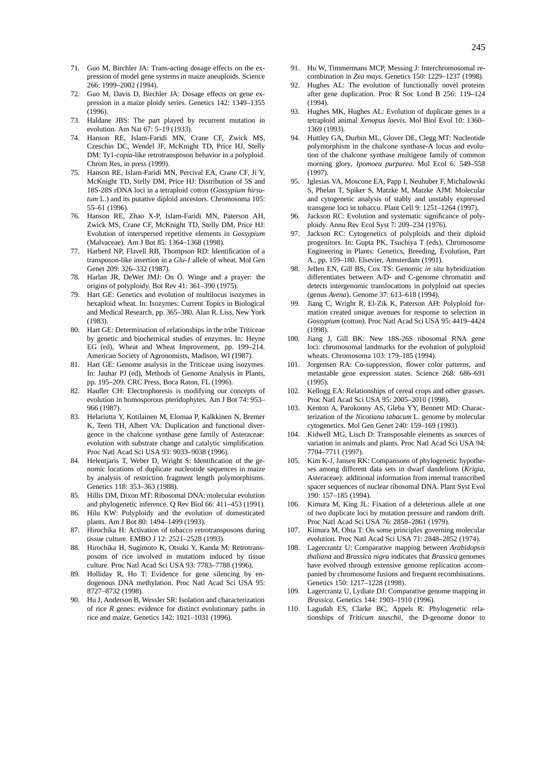- 71. Guo M, Birchler JA: Trans-acting dosage effects on the expression of model gene systems in maize aneuploids. Science 266: 1999–2002 (1994).
- 72. Guo M, Davis D, Birchler JA: Dosage effects on gene expression in a maize ploidy series. Genetics 142: 1349–1355 (1996).
- 73. Haldane JBS: The part played by recurrent mutation in evolution. Am Nat 67: 5–19 (1933).
- 74. Hanson RE, Islam-Faridi MN, Crane CF, Zwick MS, Czeschin DC, Wendel JF, McKnight TD, Price HJ, Stelly DM: Ty1-*copia*-like retrotransposon behavior in a polyploid. Chrom Res, in press (1999).
- 75. Hanson RE, Islam-Faridi MN, Percival EA, Crane CF, Ji Y, McKnight TD, Stelly DM, Price HJ: Distribution of 5S and 18S-28S rDNA loci in a tetraploid cotton (*Gossypium hirsutum* L.) and its putative diploid ancestors. Chromosoma 105: 55–61 (1996).
- 76. Hanson RE, Zhao X-P, Islam-Faridi MN, Paterson AH, Zwick MS, Crane CF, McKnight TD, Stelly DM, Price HJ: Evolution of interspersed repetitive elements in *Gossypium* (Malvaceae). Am J Bot 85: 1364–1368 (1998).
- 77. Harberd NP, Flavell RB, Thompson RD: Identification of a transposon-like insertion in a *Glu-1* allele of wheat. Mol Gen Genet 209: 326–332 (1987).
- 78. Harlan JR, DeWet JMJ: On Ö. Winge and a prayer: the origins of polyploidy. Bot Rev 41: 361–390 (1975).
- Hart GE: Genetics and evolution of multilocus isozymes in hexaploid wheat. In: Isozymes: Current Topics in Biological and Medical Research, pp. 365–380. Alan R. Liss, New York (1983).
- 80. Hart GE: Determination of relationships in the tribe Triticeae by genetic and biochemical studies of enzymes. In: Heyne EG (ed), Wheat and Wheat Improvement, pp. 199–214. American Society of Agronomists, Madison, WI (1987).
- 81. Hart GE: Genome analysis in the Triticeae using isozymes. In: Jauhar PJ (ed), Methods of Genome Analysis in Plants, pp. 195–209. CRC Press, Boca Raton, FL (1996).
- 82. Haufler CH: Electrophoresis is modifying our concepts of evolution in homosporous pteridophytes. Am J Bot 74: 953– 966 (1987).
- 83. Helariutta Y, Kotilainen M, Elomaa P, Kalkkinen N, Bremer K, Teeri TH, Albert VA: Duplication and functional divergence in the chalcone synthase gene family of Asteraceae: evolution with substrate change and catalytic simplification. Proc Natl Acad Sci USA 93: 9033–9038 (1996).
- 84. Helentjaris T, Weber D, Wright S: Identification of the genomic locations of duplicate nucleotide sequences in maize by analysis of restriction fragment length polymorphisms. Genetics 118: 353–363 (1988).
- 85. Hillis DM, Dixon MT: Ribosomal DNA: molecular evolution and phylogenetic inference. Q Rev Biol 66: 411–453 (1991).
- 86. Hilu KW: Polyploidy and the evolution of domesticated plants. Am J Bot 80: 1494–1499 (1993).
- 87. Hirochika H: Activation of tobacco retrotransposons during tissue culture. EMBO J 12: 2521–2528 (1993).
- 88. Hirochika H, Sugimoto K, Otsuki Y, Kanda M: Retrotransposons of rice involved in mutations induced by tissue culture. Proc Natl Acad Sci USA 93: 7783–7788 (1996).
- 89. Holliday R, Ho T: Evidence for gene silencing by endogenous DNA methylation. Proc Natl Acad Sci USA 95: 8727–8732 (1998).
- 90. Hu J, Anderson B, Wessler SR: Isolation and characterization of rice *R* genes: evidence for distinct evolutionary paths in rice and maize. Genetics 142: 1021–1031 (1996).
- 91. Hu W, Timmermans MCP, Messing J: Interchromosomal recombination in *Zea mays.* Genetics 150: 1229–1237 (1998).
- 92. Hughes AL: The evolution of functionally novel proteins after gene duplication. Proc R Soc Lond B 256: 119–124 (1994).
- 93. Hughes MK, Hughes AL: Evolution of duplicate genes in a tetraploid animal *Xenopus laevis.* Mol Biol Evol 10: 1360– 1369 (1993).
- 94. Huttley GA, Durbin ML, Glover DE, Clegg MT: Nucleotide polymorphism in the chalcone synthase-A locus and evolution of the chalcone synthase multigene family of common morning glory, *Ipomoea purpurea.* Mol Ecol 6: 549–558 (1997).
- 95. Iglesias VA, Moscone EA, Papp I, Neuhuber F, Michalowski S, Phelan T, Spiker S, Matzke M, Matzke AJM: Molecular and cytogenetic analysis of stably and unstably expressed transgene loci in tobacco. Plant Cell 9: 1251–1264 (1997).
- 96. Jackson RC: Evolution and systematic significance of polyploidy. Annu Rev Ecol Syst 7: 209–234 (1976).
- 97. Jackson RC: Cytogenetics of polyploids and their diploid progenitors. In: Gupta PK, Tsuchiya T (eds), Chromosome Engineering in Plants: Genetics, Breeding, Evolution, Part A., pp. 159–180. Elsevier, Amsterdam (1991).
- 98. Jellen EN, Gill BS, Cox TS: Genomic *in situ* hybridization differentiates between A/D- and C-genome chromatin and detects intergenomic translocations in polyploid oat species (genus *Avena*). Genome 37: 613–618 (1994).
- 99. Jiang C, Wright R, El-Zik K, Paterson AH: Polyploid formation created unique avenues for response to selection in *Gossypium* (cotton). Proc Natl Acad Sci USA 95: 4419–4424 (1998).
- 100. Jiang J, Gill BK: New 18S-26S ribosomal RNA gene loci: chromosomal landmarks for the evolution of polyploid wheats. Chromosoma 103: 179–185 (1994).
- 101. Jorgensen RA: Co-suppression, flower color patterns, and metastable gene expression states. Science 268: 686–691 (1995).
- 102. Kellogg EA: Relationships of cereal crops and other grasses. Proc Natl Acad Sci USA 95: 2005–2010 (1998).
- 103. Kenton A, Parokonny AS, Gleba YY, Bennett MD: Characterization of the *Nicotiana tabacum* L. genome by molecular cytogenetics. Mol Gen Genet 240: 159–169 (1993).
- 104. Kidwell MG, Lisch D: Transposable elements as sources of variation in animals and plants. Proc Natl Acad Sci USA 94: 7704–7711 (1997).
- 105. Kim K-J, Jansen RK: Comparisons of phylogenetic hypotheses among different data sets in dwarf dandelions (*Krigia*, Asteraceae): additional information from internal transcribed spacer sequences of nuclear ribosomal DNA. Plant Syst Evol 190: 157–185 (1994).
- 106. Kimura M, King JL: Fixation of a deleterious allele at one of two duplicate loci by mutation pressure and random drift. Proc Natl Acad Sci USA 76: 2858–2861 (1979).
- 107. Kimura M, Ohta T: On some principles governing molecular evolution. Proc Natl Acad Sci USA 71: 2848–2852 (1974).
- 108. Lagercrantz U: Comparative mapping between *Arabidopsis thaliana* and *Brassica nigra* indicates that *Brassica* genomes have evolved through extensive genome replication accompanied by chromosome fusions and frequent recombinations. Genetics 150: 1217–1228 (1998).
- 109. Lagercrantz U, Lydiate DJ: Comparative genome mapping in *Brassica.* Genetics 144: 1903–1910 (1996).
- 110. Lagudah ES, Clarke BC, Appels R: Phylogenetic relationships of *Triticum tauschii*, the D-genome donor to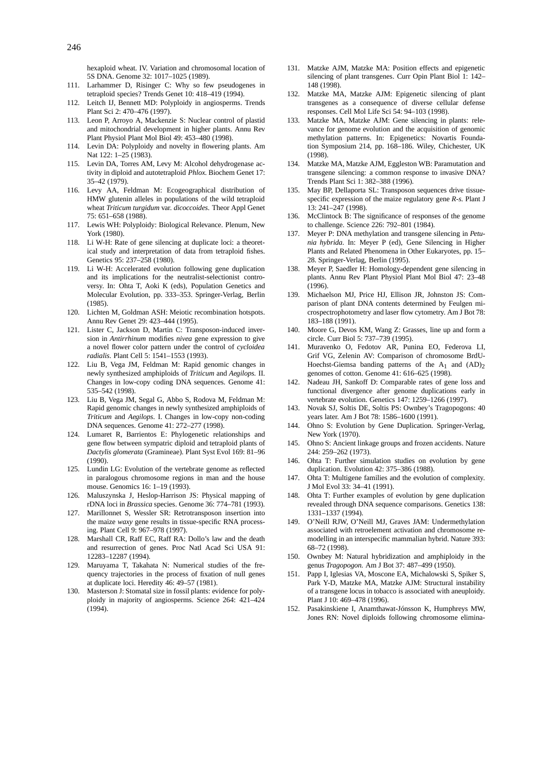hexaploid wheat. IV. Variation and chromosomal location of 5S DNA. Genome 32: 1017–1025 (1989).

- 111. Larhammer D, Risinger C: Why so few pseudogenes in tetraploid species? Trends Genet 10: 418–419 (1994).
- 112. Leitch IJ, Bennett MD: Polyploidy in angiosperms. Trends Plant Sci 2: 470–476 (1997).
- 113. Leon P, Arroyo A, Mackenzie S: Nuclear control of plastid and mitochondrial development in higher plants. Annu Rev Plant Physiol Plant Mol Biol 49: 453–480 (1998).
- 114. Levin DA: Polyploidy and novelty in flowering plants. Am Nat 122: 1–25 (1983).
- 115. Levin DA, Torres AM, Levy M: Alcohol dehydrogenase activity in diploid and autotetraploid *Phlox.* Biochem Genet 17: 35–42 (1979).
- 116. Levy AA, Feldman M: Ecogeographical distribution of HMW glutenin alleles in populations of the wild tetraploid wheat *Triticum turgidum* var. *dicoccoides.* Theor Appl Genet 75: 651–658 (1988).
- 117. Lewis WH: Polyploidy: Biological Relevance. Plenum, New York (1980).
- 118. Li W-H: Rate of gene silencing at duplicate loci: a theoretical study and interpretation of data from tetraploid fishes. Genetics 95: 237–258 (1980).
- 119. Li W-H: Accelerated evolution following gene duplication and its implications for the neutralist-selectionist controversy. In: Ohta T, Aoki K (eds), Population Genetics and Molecular Evolution, pp. 333–353. Springer-Verlag, Berlin (1985).
- 120. Lichten M, Goldman ASH: Meiotic recombination hotspots. Annu Rev Genet 29: 423–444 (1995).
- 121. Lister C, Jackson D, Martin C: Transposon-induced inversion in *Antirrhinum* modifies *nivea* gene expression to give a novel flower color pattern under the control of *cycloidea radialis.* Plant Cell 5: 1541–1553 (1993).
- 122. Liu B, Vega JM, Feldman M: Rapid genomic changes in newly synthesized amphiploids of *Triticum* and *Aegilops.* II. Changes in low-copy coding DNA sequences. Genome 41: 535–542 (1998).
- 123. Liu B, Vega JM, Segal G, Abbo S, Rodova M, Feldman M: Rapid genomic changes in newly synthesized amphiploids of *Triticum* and *Aegilops.* I. Changes in low-copy non-coding DNA sequences. Genome 41: 272–277 (1998).
- 124. Lumaret R, Barrientos E: Phylogenetic relationships and gene flow between sympatric diploid and tetraploid plants of *Dactylis glomerata* (Gramineae). Plant Syst Evol 169: 81–96 (1990).
- 125. Lundin LG: Evolution of the vertebrate genome as reflected in paralogous chromosome regions in man and the house mouse. Genomics 16: 1–19 (1993).
- 126. Maluszynska J, Heslop-Harrison JS: Physical mapping of rDNA loci in *Brassica* species. Genome 36: 774–781 (1993).
- 127. Marillonnet S, Wessler SR: Retrotransposon insertion into the maize *waxy* gene results in tissue-specific RNA processing. Plant Cell 9: 967–978 (1997).
- 128. Marshall CR, Raff EC, Raff RA: Dollo's law and the death and resurrection of genes. Proc Natl Acad Sci USA 91: 12283–12287 (1994).
- 129. Maruyama T, Takahata N: Numerical studies of the frequency trajectories in the process of fixation of null genes at duplicate loci. Heredity 46: 49–57 (1981).
- 130. Masterson J: Stomatal size in fossil plants: evidence for polyploidy in majority of angiosperms. Science 264: 421–424 (1994).
- 131. Matzke AJM, Matzke MA: Position effects and epigenetic silencing of plant transgenes. Curr Opin Plant Biol 1: 142– 148 (1998).
- 132. Matzke MA, Matzke AJM: Epigenetic silencing of plant transgenes as a consequence of diverse cellular defense responses. Cell Mol Life Sci 54: 94–103 (1998).
- 133. Matzke MA, Matzke AJM: Gene silencing in plants: relevance for genome evolution and the acquisition of genomic methylation patterns. In: Epigenetics: Novartis Foundation Symposium 214, pp. 168–186. Wiley, Chichester, UK (1998).
- 134. Matzke MA, Matzke AJM, Eggleston WB: Paramutation and transgene silencing: a common response to invasive DNA? Trends Plant Sci 1: 382–388 (1996).
- 135. May BP, Dellaporta SL: Transposon sequences drive tissuespecific expression of the maize regulatory gene *R-s.* Plant J 13: 241–247 (1998).
- 136. McClintock B: The significance of responses of the genome to challenge. Science 226: 792–801 (1984).
- 137. Meyer P: DNA methylation and transgene silencing in *Petunia hybrida.* In: Meyer P (ed), Gene Silencing in Higher Plants and Related Phenomena in Other Eukaryotes, pp. 15– 28. Springer-Verlag, Berlin (1995).
- 138. Meyer P, Saedler H: Homology-dependent gene silencing in plants. Annu Rev Plant Physiol Plant Mol Biol 47: 23–48 (1996).
- 139. Michaelson MJ, Price HJ, Ellison JR, Johnston JS: Comparison of plant DNA contents determined by Feulgen microspectrophotometry and laser flow cytometry. Am J Bot 78: 183–188 (1991).
- 140. Moore G, Devos KM, Wang Z: Grasses, line up and form a circle. Curr Biol 5: 737–739 (1995).
- 141. Muravenko O, Fedotov AR, Punina EO, Federova LI, Grif VG, Zelenin AV: Comparison of chromosome BrdU-Hoechst-Giemsa banding patterns of the  $A_1$  and  $(AD)_2$ genomes of cotton. Genome 41: 616–625 (1998).
- 142. Nadeau JH, Sankoff D: Comparable rates of gene loss and functional divergence after genome duplications early in vertebrate evolution. Genetics 147: 1259–1266 (1997).
- 143. Novak SJ, Soltis DE, Soltis PS: Ownbey's Tragopogons: 40 years later. Am J Bot 78: 1586–1600 (1991).
- 144. Ohno S: Evolution by Gene Duplication. Springer-Verlag, New York (1970).
- 145. Ohno S: Ancient linkage groups and frozen accidents. Nature 244: 259–262 (1973).
- 146. Ohta T: Further simulation studies on evolution by gene duplication. Evolution 42: 375–386 (1988).
- 147. Ohta T: Multigene families and the evolution of complexity. J Mol Evol 33: 34–41 (1991).
- 148. Ohta T: Further examples of evolution by gene duplication revealed through DNA sequence comparisons. Genetics 138: 1331–1337 (1994).
- 149. O'Neill RJW, O'Neill MJ, Graves JAM: Undermethylation associated with retroelement activation and chromosome remodelling in an interspecific mammalian hybrid. Nature 393: 68–72 (1998).
- 150. Ownbey M: Natural hybridization and amphiploidy in the genus *Tragopogon.* Am J Bot 37: 487–499 (1950).
- 151. Papp I, Iglesias VA, Moscone EA, Michalowski S, Spiker S, Park Y-D, Matzke MA, Matzke AJM: Structural instability of a transgene locus in tobacco is associated with aneuploidy. Plant J 10: 469–478 (1996).
- 152. Pasakinskiene I, Anamthawat-Jónsson K, Humphreys MW, Jones RN: Novel diploids following chromosome elimina-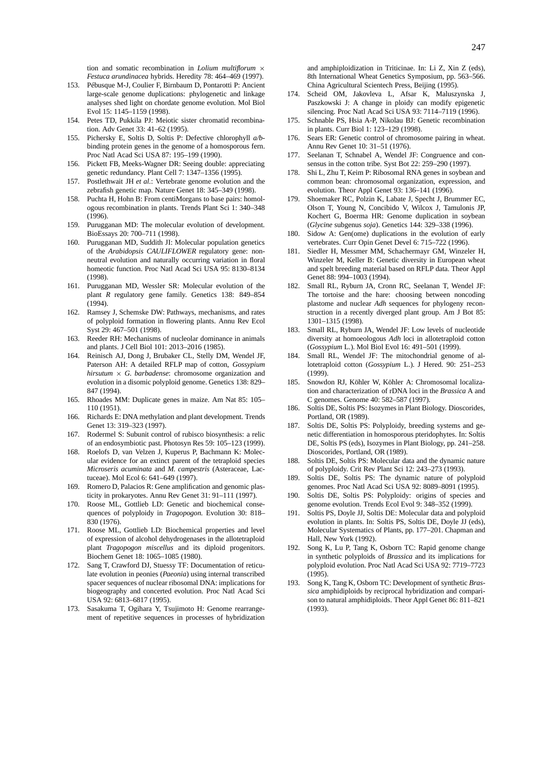- 153. Pébusque M-J, Coulier F, Birnbaum D, Pontarotti P: Ancient large-scale genome duplications: phylogenetic and linkage analyses shed light on chordate genome evolution. Mol Biol Evol 15: 1145–1159 (1998).
- 154. Petes TD, Pukkila PJ: Meiotic sister chromatid recombination. Adv Genet 33: 41–62 (1995).
- 155. Pichersky E, Soltis D, Soltis P: Defective chlorophyll *a/b*binding protein genes in the genome of a homosporous fern. Proc Natl Acad Sci USA 87: 195–199 (1990).
- 156. Pickett FB, Meeks-Wagner DR: Seeing double: appreciating genetic redundancy. Plant Cell 7: 1347–1356 (1995).
- 157. Postlethwait JH *et al.*: Vertebrate genome evolution and the zebrafish genetic map. Nature Genet 18: 345–349 (1998).
- 158. Puchta H, Hohn B: From centiMorgans to base pairs: homologous recombination in plants. Trends Plant Sci 1: 340–348 (1996).
- 159. Purugganan MD: The molecular evolution of development. BioEssays 20: 700–711 (1998).
- 160. Purugganan MD, Suddith JI: Molecular population genetics of the *Arabidopsis CAULIFLOWER* regulatory gene: nonneutral evolution and naturally occurring variation in floral homeotic function. Proc Natl Acad Sci USA 95: 8130–8134 (1998).
- 161. Purugganan MD, Wessler SR: Molecular evolution of the plant *R* regulatory gene family. Genetics 138: 849–854 (1994).
- 162. Ramsey J, Schemske DW: Pathways, mechanisms, and rates of polyploid formation in flowering plants. Annu Rev Ecol Syst 29: 467–501 (1998).
- 163. Reeder RH: Mechanisms of nucleolar dominance in animals and plants. J Cell Biol 101: 2013–2016 (1985).
- 164. Reinisch AJ, Dong J, Brubaker CL, Stelly DM, Wendel JF, Paterson AH: A detailed RFLP map of cotton, *Gossypium*  $hirsutum \times G.$  *barbadense*: chromosome organization and evolution in a disomic polyploid genome. Genetics 138: 829– 847 (1994).
- 165. Rhoades MM: Duplicate genes in maize. Am Nat 85: 105– 110 (1951).
- 166. Richards E: DNA methylation and plant development. Trends Genet 13: 319–323 (1997).
- 167. Rodermel S: Subunit control of rubisco biosynthesis: a relic of an endosymbiotic past. Photosyn Res 59: 105–123 (1999).
- 168. Roelofs D, van Velzen J, Kuperus P, Bachmann K: Molecular evidence for an extinct parent of the tetraploid species *Microseris acuminata* and *M. campestris* (Asteraceae, Lactuceae). Mol Ecol 6: 641–649 (1997).
- 169. Romero D, Palacios R: Gene amplification and genomic plasticity in prokaryotes. Annu Rev Genet 31: 91–111 (1997).
- 170. Roose ML, Gottlieb LD: Genetic and biochemical consequences of polyploidy in *Tragopogon.* Evolution 30: 818– 830 (1976).
- 171. Roose ML, Gottlieb LD: Biochemical properties and level of expression of alcohol dehydrogenases in the allotetraploid plant *Tragopogon miscellus* and its diploid progenitors. Biochem Genet 18: 1065–1085 (1980).
- 172. Sang T, Crawford DJ, Stuessy TF: Documentation of reticulate evolution in peonies (*Paeonia*) using internal transcribed spacer sequences of nuclear ribosomal DNA: implications for biogeography and concerted evolution. Proc Natl Acad Sci USA 92: 6813–6817 (1995).
- 173. Sasakuma T, Ogihara Y, Tsujimoto H: Genome rearrangement of repetitive sequences in processes of hybridization

and amphiploidization in Triticinae. In: Li Z, Xin Z (eds), 8th International Wheat Genetics Symposium, pp. 563–566. China Agricultural Scientech Press, Beijing (1995).

- 174. Scheid OM, Jakovleva L, Afsar K, Maluszynska J, Paszkowski J: A change in ploidy can modify epigenetic silencing. Proc Natl Acad Sci USA 93: 7114–7119 (1996).
- 175. Schnable PS, Hsia A-P, Nikolau BJ: Genetic recombination in plants. Curr Biol 1: 123–129 (1998).
- 176. Sears ER: Genetic control of chromosome pairing in wheat. Annu Rev Genet 10: 31–51 (1976).
- 177. Seelanan T, Schnabel A, Wendel JF: Congruence and consensus in the cotton tribe*.* Syst Bot 22: 259–290 (1997).
- 178. Shi L, Zhu T, Keim P: Ribosomal RNA genes in soybean and common bean: chromosomal organization, expression, and evolution. Theor Appl Genet 93: 136–141 (1996).
- 179. Shoemaker RC, Polzin K, Labate J, Specht J, Brummer EC, Olson T, Young N, Concibido V, Wilcox J, Tamulonis JP, Kochert G, Boerma HR: Genome duplication in soybean (*Glycine* subgenus *soja*). Genetics 144: 329–338 (1996).
- 180. Sidow A: Gen(ome) duplications in the evolution of early vertebrates. Curr Opin Genet Devel 6: 715–722 (1996).
- 181. Siedler H, Messmer MM, Schachermayr GM, Winzeler H, Winzeler M, Keller B: Genetic diversity in European wheat and spelt breeding material based on RFLP data. Theor Appl Genet 88: 994–1003 (1994).
- Small RL, Ryburn JA, Cronn RC, Seelanan T, Wendel JF: The tortoise and the hare: choosing between noncoding plastome and nuclear *Adh* sequences for phylogeny reconstruction in a recently diverged plant group. Am J Bot 85: 1301–1315 (1998).
- 183. Small RL, Ryburn JA, Wendel JF: Low levels of nucleotide diversity at homoeologous *Adh* loci in allotetraploid cotton (*Gossypium* L.). Mol Biol Evol 16: 491–501 (1999).
- 184. Small RL, Wendel JF: The mitochondrial genome of allotetraploid cotton (*Gossypium* L.). J Hered. 90: 251–253 (1999).
- 185. Snowdon RJ, Köhler W, Köhler A: Chromosomal localization and characterization of rDNA loci in the *Brassica* A and C genomes. Genome 40: 582–587 (1997).
- 186. Soltis DE, Soltis PS: Isozymes in Plant Biology. Dioscorides, Portland, OR (1989).
- 187. Soltis DE, Soltis PS: Polyploidy, breeding systems and genetic differentiation in homosporous pteridophytes. In: Soltis DE, Soltis PS (eds), Isozymes in Plant Biology, pp. 241–258. Dioscorides, Portland, OR (1989).
- 188. Soltis DE, Soltis PS: Molecular data and the dynamic nature of polyploidy. Crit Rev Plant Sci 12: 243–273 (1993).
- 189. Soltis DE, Soltis PS: The dynamic nature of polyploid genomes. Proc Natl Acad Sci USA 92: 8089–8091 (1995).
- 190. Soltis DE, Soltis PS: Polyploidy: origins of species and genome evolution. Trends Ecol Evol 9: 348–352 (1999).
- 191. Soltis PS, Doyle JJ, Soltis DE: Molecular data and polyploid evolution in plants. In: Soltis PS, Soltis DE, Doyle JJ (eds), Molecular Systematics of Plants, pp. 177–201. Chapman and Hall, New York (1992).
- 192. Song K, Lu P, Tang K, Osborn TC: Rapid genome change in synthetic polyploids of *Brassica* and its implications for polyploid evolution. Proc Natl Acad Sci USA 92: 7719–7723 (1995).
- 193. Song K, Tang K, Osborn TC: Development of synthetic *Brassica* amphidiploids by reciprocal hybridization and comparison to natural amphidiploids. Theor Appl Genet 86: 811–821 (1993).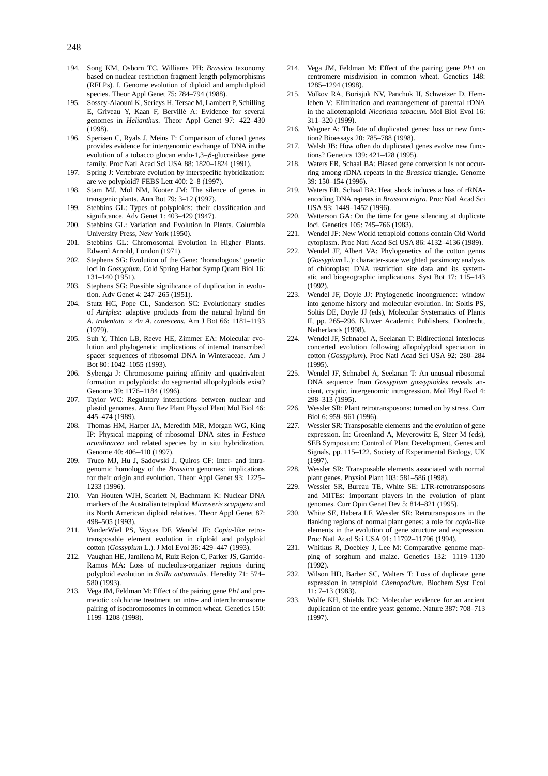- 194. Song KM, Osborn TC, Williams PH: *Brassica* taxonomy based on nuclear restriction fragment length polymorphisms (RFLPs). I. Genome evolution of diploid and amphidiploid species. Theor Appl Genet 75: 784–794 (1988).
- 195. Sossey-Alaouni K, Serieys H, Tersac M, Lambert P, Schilling E, Griveau Y, Kaan F, Bervillé A: Evidence for several genomes in *Helianthus.* Theor Appl Genet 97: 422–430 (1998).
- 196. Sperisen C, Ryals J, Meins F: Comparison of cloned genes provides evidence for intergenomic exchange of DNA in the evolution of a tobacco glucan endo-1,3–*β*-glucosidase gene family. Proc Natl Acad Sci USA 88: 1820–1824 (1991).
- 197. Spring J: Vertebrate evolution by interspecific hybridization: are we polyploid? FEBS Lett 400: 2–8 (1997).
- 198. Stam MJ, Mol NM, Kooter JM: The silence of genes in transgenic plants. Ann Bot 79: 3–12 (1997).
- 199. Stebbins GL: Types of polyploids: their classification and significance. Adv Genet 1: 403–429 (1947).
- 200. Stebbins GL: Variation and Evolution in Plants. Columbia University Press, New York (1950).
- 201. Stebbins GL: Chromosomal Evolution in Higher Plants. Edward Arnold, London (1971).
- 202. Stephens SG: Evolution of the Gene: 'homologous' genetic loci in *Gossypium.* Cold Spring Harbor Symp Quant Biol 16: 131–140 (1951).
- 203. Stephens SG: Possible significance of duplication in evolution. Adv Genet 4: 247–265 (1951).
- 204. Stutz HC, Pope CL, Sanderson SC: Evolutionary studies of *Atriplex*: adaptive products from the natural hybrid 6*n A. tridentata* × 4*n A. canescens.* Am J Bot 66: 1181–1193 (1979).
- 205. Suh Y, Thien LB, Reeve HE, Zimmer EA: Molecular evolution and phylogenetic implications of internal transcribed spacer sequences of ribosomal DNA in Winteraceae. Am J Bot 80: 1042–1055 (1993).
- 206. Sybenga J: Chromosome pairing affinity and quadrivalent formation in polyploids: do segmental allopolyploids exist? Genome 39: 1176-1184 (1996).
- 207. Taylor WC: Regulatory interactions between nuclear and plastid genomes. Annu Rev Plant Physiol Plant Mol Biol 46: 445–474 (1989).
- 208. Thomas HM, Harper JA, Meredith MR, Morgan WG, King IP: Physical mapping of ribosomal DNA sites in *Festuca arundinacea* and related species by in situ hybridization. Genome 40: 406–410 (1997).
- 209. Truco MJ, Hu J, Sadowski J, Quiros CF: Inter- and intragenomic homology of the *Brassica* genomes: implications for their origin and evolution. Theor Appl Genet 93: 1225– 1233 (1996).
- 210. Van Houten WJH, Scarlett N, Bachmann K: Nuclear DNA markers of the Australian tetraploid *Microseris scapigera* and its North American diploid relatives. Theor Appl Genet 87: 498–505 (1993).
- 211. VanderWiel PS, Voytas DF, Wendel JF: *Copia*-like retrotransposable element evolution in diploid and polyploid cotton (*Gossypium* L.). J Mol Evol 36: 429–447 (1993).
- 212. Vaughan HE, Jamilena M, Ruiz Rejon C, Parker JS, Garrido-Ramos MA: Loss of nucleolus-organizer regions during polyploid evolution in *Scilla autumnalis.* Heredity 71: 574– 580 (1993).
- 213. Vega JM, Feldman M: Effect of the pairing gene *Ph1* and premeiotic colchicine treatment on intra- and interchromosome pairing of isochromosomes in common wheat. Genetics 150: 1199–1208 (1998).
- 214. Vega JM, Feldman M: Effect of the pairing gene *Ph1* on centromere misdivision in common wheat. Genetics 148: 1285–1294 (1998).
- 215. Volkov RA, Borisjuk NV, Panchuk II, Schweizer D, Hemleben V: Elimination and rearrangement of parental rDNA in the allotetraploid *Nicotiana tabacum.* Mol Biol Evol 16: 311–320 (1999).
- 216. Wagner A: The fate of duplicated genes: loss or new function? Bioessays 20: 785–788 (1998).
- 217. Walsh JB: How often do duplicated genes evolve new functions? Genetics 139: 421–428 (1995).
- 218. Waters ER, Schaal BA: Biased gene conversion is not occurring among rDNA repeats in the *Brassica* triangle. Genome 39: 150–154 (1996).
- 219. Waters ER, Schaal BA: Heat shock induces a loss of rRNAencoding DNA repeats in *Brassica nigra.* Proc Natl Acad Sci USA 93: 1449–1452 (1996).
- 220. Watterson GA: On the time for gene silencing at duplicate loci. Genetics 105: 745–766 (1983).
- 221. Wendel JF: New World tetraploid cottons contain Old World cytoplasm. Proc Natl Acad Sci USA 86: 4132–4136 (1989).
- 222. Wendel JF, Albert VA: Phylogenetics of the cotton genus (*Gossypium* L.): character-state weighted parsimony analysis of chloroplast DNA restriction site data and its systematic and biogeographic implications*.* Syst Bot 17: 115–143 (1992).
- 223. Wendel JF, Doyle JJ: Phylogenetic incongruence: window into genome history and molecular evolution. In: Soltis PS, Soltis DE, Doyle JJ (eds), Molecular Systematics of Plants II, pp. 265–296. Kluwer Academic Publishers, Dordrecht, Netherlands (1998).
- 224. Wendel JF, Schnabel A, Seelanan T: Bidirectional interlocus concerted evolution following allopolyploid speciation in cotton (*Gossypium*). Proc Natl Acad Sci USA 92: 280–284 (1995).
- 225. Wendel JF, Schnabel A, Seelanan T: An unusual ribosomal DNA sequence from *Gossypium gossypioides* reveals ancient, cryptic, intergenomic introgression. Mol Phyl Evol 4: 298–313 (1995).
- 226. Wessler SR: Plant retrotransposons: turned on by stress. Curr Biol 6: 959–961 (1996).
- 227. Wessler SR: Transposable elements and the evolution of gene expression. In: Greenland A, Meyerowitz E, Steer M (eds), SEB Symposium: Control of Plant Development, Genes and Signals, pp. 115–122. Society of Experimental Biology, UK (1997).
- 228. Wessler SR: Transposable elements associated with normal plant genes. Physiol Plant 103: 581–586 (1998).
- 229. Wessler SR, Bureau TE, White SE: LTR-retrotransposons and MITEs: important players in the evolution of plant genomes. Curr Opin Genet Dev 5: 814–821 (1995).
- 230. White SE, Habera LF, Wessler SR: Retrotransposons in the flanking regions of normal plant genes: a role for *copia*-like elements in the evolution of gene structure and expression. Proc Natl Acad Sci USA 91: 11792–11796 (1994).
- 231. Whitkus R, Doebley J, Lee M: Comparative genome mapping of sorghum and maize. Genetics 132: 1119–1130 (1992).
- 232. Wilson HD, Barber SC, Walters T: Loss of duplicate gene expression in tetraploid *Chenopodium.* Biochem Syst Ecol 11: 7–13 (1983).
- 233. Wolfe KH, Shields DC: Molecular evidence for an ancient duplication of the entire yeast genome. Nature 387: 708–713 (1997).